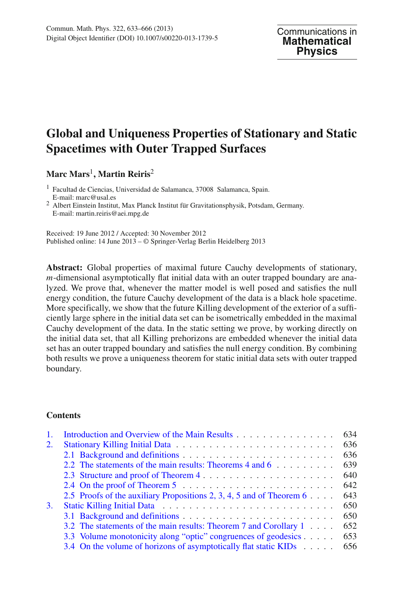# **Global and Uniqueness Properties of Stationary and Static Spacetimes with Outer Trapped Surfaces**

## **Marc Mars**1**, Martin Reiris**<sup>2</sup>

<sup>1</sup> Facultad de Ciencias, Universidad de Salamanca, 37008 Salamanca, Spain. E-mail: marc@usal.es

<sup>2</sup> Albert Einstein Institut, Max Planck Institut für Gravitationsphysik, Potsdam, Germany. E-mail: martin.reiris@aei.mpg.de

Received: 19 June 2012 / Accepted: 30 November 2012 Published online: 14 June 2013 – © Springer-Verlag Berlin Heidelberg 2013

**Abstract:** Global properties of maximal future Cauchy developments of stationary, *m*-dimensional asymptotically flat initial data with an outer trapped boundary are analyzed. We prove that, whenever the matter model is well posed and satisfies the null energy condition, the future Cauchy development of the data is a black hole spacetime. More specifically, we show that the future Killing development of the exterior of a sufficiently large sphere in the initial data set can be isometrically embedded in the maximal Cauchy development of the data. In the static setting we prove, by working directly on the initial data set, that all Killing prehorizons are embedded whenever the initial data set has an outer trapped boundary and satisfies the null energy condition. By combining both results we prove a uniqueness theorem for static initial data sets with outer trapped boundary.

### **Contents**

|    | Introduction and Overview of the Main Results                                         | 634 |
|----|---------------------------------------------------------------------------------------|-----|
| 2. |                                                                                       | 636 |
|    |                                                                                       | 636 |
|    | 2.2 The statements of the main results: Theorems 4 and 6 $\dots$                      | 639 |
|    | 2.3 Structure and proof of Theorem 4                                                  | 640 |
|    | 2.4 On the proof of Theorem 5 $\dots \dots \dots \dots \dots \dots \dots \dots \dots$ | 642 |
|    | 2.5 Proofs of the auxiliary Propositions 2, 3, 4, 5 and of Theorem 6                  | 643 |
| 3. |                                                                                       | 650 |
|    |                                                                                       | 650 |
|    | 3.2 The statements of the main results: Theorem 7 and Corollary 1                     | 652 |
|    | 3.3 Volume monotonicity along "optic" congruences of geodesics                        | 653 |
|    | 3.4 On the volume of horizons of asymptotically flat static KIDs                      | 656 |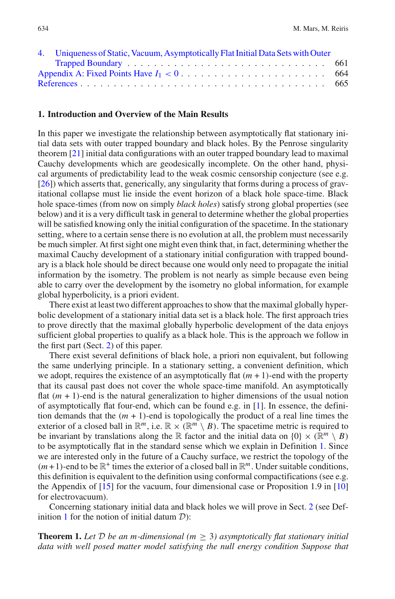| 4. Uniqueness of Static, Vacuum, Asymptotically Flat Initial Data Sets with Outer |  |
|-----------------------------------------------------------------------------------|--|
|                                                                                   |  |
|                                                                                   |  |
|                                                                                   |  |

#### <span id="page-1-0"></span>**1. Introduction and Overview of the Main Results**

In this paper we investigate the relationship between asymptotically flat stationary initial data sets with outer trapped boundary and black holes. By the Penrose singularity theorem [\[21](#page-33-0)] initial data configurations with an outer trapped boundary lead to maximal Cauchy developments which are geodesically incomplete. On the other hand, physical arguments of predictability lead to the weak cosmic censorship conjecture (see e.g. [\[26](#page-33-1)]) which asserts that, generically, any singularity that forms during a process of gravitational collapse must lie inside the event horizon of a black hole space-time. Black hole space-times (from now on simply *black holes*) satisfy strong global properties (see below) and it is a very difficult task in general to determine whether the global properties will be satisfied knowing only the initial configuration of the spacetime. In the stationary setting, where to a certain sense there is no evolution at all, the problem must necessarily be much simpler. At first sight one might even think that, in fact, determining whether the maximal Cauchy development of a stationary initial configuration with trapped boundary is a black hole should be direct because one would only need to propagate the initial information by the isometry. The problem is not nearly as simple because even being able to carry over the development by the isometry no global information, for example global hyperbolicity, is a priori evident.

There exist at least two different approaches to show that the maximal globally hyperbolic development of a stationary initial data set is a black hole. The first approach tries to prove directly that the maximal globally hyperbolic development of the data enjoys sufficient global properties to qualify as a black hole. This is the approach we follow in the first part (Sect. [2\)](#page-3-0) of this paper.

There exist several definitions of black hole, a priori non equivalent, but following the same underlying principle. In a stationary setting, a convenient definition, which we adopt, requires the existence of an asymptotically flat  $(m + 1)$ -end with the property that its causal past does not cover the whole space-time manifold. An asymptotically flat (*m* + 1)-end is the natural generalization to higher dimensions of the usual notion of asymptotically flat four-end, which can be found e.g. in [\[1](#page-32-1)]. In essence, the definition demands that the  $(m + 1)$ -end is topologically the product of a real line times the exterior of a closed ball in  $\mathbb{R}^m$ , i.e.  $\mathbb{R} \times (\mathbb{R}^m \setminus B)$ . The spacetime metric is required to be invariant by translations along the R factor and the initial data on  $\{0\} \times (\mathbb{R}^m \setminus B)$ to be asymptotically flat in the standard sense which we explain in Definition [1.](#page-4-0) Since we are interested only in the future of a Cauchy surface, we restrict the topology of the  $(m+1)$ -end to be  $\mathbb{R}^+$  times the exterior of a closed ball in  $\mathbb{R}^m$ . Under suitable conditions, this definition is equivalent to the definition using conformal compactifications (see e.g. the Appendix of [\[15](#page-33-2)] for the vacuum, four dimensional case or Proposition 1.9 in [\[10\]](#page-32-2) for electrovacuum).

<span id="page-1-1"></span>Concerning stationary initial data and black holes we will prove in Sect. [2](#page-3-0) (see Definition [1](#page-4-0) for the notion of initial datum *D*):

**Theorem 1.** *Let D be an m-dimensional (m* ≥ 3*) asymptotically flat stationary initial data with well posed matter model satisfying the null energy condition Suppose that*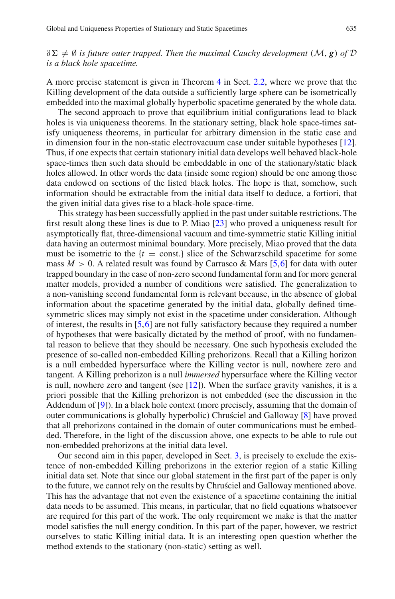A more precise statement is given in Theorem [4](#page-6-0) in Sect. [2.2,](#page-6-1) where we prove that the Killing development of the data outside a sufficiently large sphere can be isometrically embedded into the maximal globally hyperbolic spacetime generated by the whole data.

The second approach to prove that equilibrium initial configurations lead to black holes is via uniqueness theorems. In the stationary setting, black hole space-times satisfy uniqueness theorems, in particular for arbitrary dimension in the static case and in dimension four in the non-static electrovacuum case under suitable hypotheses [\[12](#page-32-3)]. Thus, if one expects that certain stationary initial data develops well behaved black-hole space-times then such data should be embeddable in one of the stationary/static black holes allowed. In other words the data (inside some region) should be one among those data endowed on sections of the listed black holes. The hope is that, somehow, such information should be extractable from the initial data itself to deduce, a fortiori, that the given initial data gives rise to a black-hole space-time.

This strategy has been successfully applied in the past under suitable restrictions. The first result along these lines is due to P. Miao [\[23\]](#page-33-3) who proved a uniqueness result for asymptotically flat, three-dimensional vacuum and time-symmetric static Killing initial data having an outermost minimal boundary. More precisely, Miao proved that the data must be isometric to the  $\{t = \text{const.}\}\$  slice of the Schwarzschild spacetime for some mass  $M > 0$ . A related result was found by Carrasco & Mars [\[5,](#page-32-4)[6\]](#page-32-5) for data with outer trapped boundary in the case of non-zero second fundamental form and for more general matter models, provided a number of conditions were satisfied. The generalization to a non-vanishing second fundamental form is relevant because, in the absence of global information about the spacetime generated by the initial data, globally defined timesymmetric slices may simply not exist in the spacetime under consideration. Although of interest, the results in [\[5](#page-32-4)[,6](#page-32-5)] are not fully satisfactory because they required a number of hypotheses that were basically dictated by the method of proof, with no fundamental reason to believe that they should be necessary. One such hypothesis excluded the presence of so-called non-embedded Killing prehorizons. Recall that a Killing horizon is a null embedded hypersurface where the Killing vector is null, nowhere zero and tangent. A Killing prehorizon is a null *immersed* hypersurface where the Killing vector is null, nowhere zero and tangent (see  $[12]$  $[12]$ ). When the surface gravity vanishes, it is a priori possible that the Killing prehorizon is not embedded (see the discussion in the Addendum of [\[9\]](#page-32-6)). In a black hole context (more precisely, assuming that the domain of outer communications is globally hyperbolic) Chrusciel and Galloway [\[8](#page-32-7)] have proved that all prehorizons contained in the domain of outer communications must be embedded. Therefore, in the light of the discussion above, one expects to be able to rule out non-embedded prehorizons at the initial data level.

Our second aim in this paper, developed in Sect. [3,](#page-17-0) is precisely to exclude the existence of non-embedded Killing prehorizons in the exterior region of a static Killing initial data set. Note that since our global statement in the first part of the paper is only to the future, we cannot rely on the results by Chrusciel and Galloway mentioned above. This has the advantage that not even the existence of a spacetime containing the initial data needs to be assumed. This means, in particular, that no field equations whatsoever are required for this part of the work. The only requirement we make is that the matter model satisfies the null energy condition. In this part of the paper, however, we restrict ourselves to static Killing initial data. It is an interesting open question whether the method extends to the stationary (non-static) setting as well.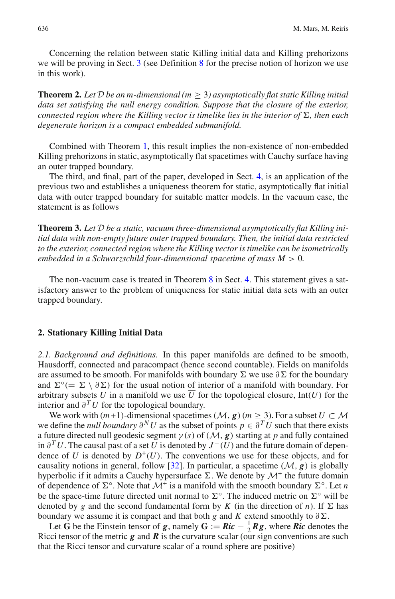Concerning the relation between static Killing initial data and Killing prehorizons we will be proving in Sect. [3](#page-17-0) (see Definition [8](#page-18-0) for the precise notion of horizon we use in this work).

**Theorem 2.** Let  $D$  be an m-dimensional ( $m \geq 3$ ) asymptotically flat static Killing initial *data set satisfying the null energy condition. Suppose that the closure of the exterior, connected region where the Killing vector is timelike lies in the interior of*  $\Sigma$ *, then each degenerate horizon is a compact embedded submanifold.*

Combined with Theorem [1,](#page-1-1) this result implies the non-existence of non-embedded Killing prehorizons in static, asymptotically flat spacetimes with Cauchy surface having an outer trapped boundary.

The third, and final, part of the paper, developed in Sect. [4,](#page-28-0) is an application of the previous two and establishes a uniqueness theorem for static, asymptotically flat initial data with outer trapped boundary for suitable matter models. In the vacuum case, the statement is as follows

<span id="page-3-2"></span>**Theorem 3.** *Let D be a static, vacuum three-dimensional asymptotically flat Killing initial data with non-empty future outer trapped boundary. Then, the initial data restricted to the exterior, connected region where the Killing vector is timelike can be isometrically embedded in a Schwarzschild four-dimensional spacetime of mass M* > 0*.*

The non-vacuum case is treated in Theorem [8](#page-29-0) in Sect. [4.](#page-28-0) This statement gives a satisfactory answer to the problem of uniqueness for static initial data sets with an outer trapped boundary.

#### <span id="page-3-0"></span>**2. Stationary Killing Initial Data**

<span id="page-3-1"></span>*2.1. Background and definitions.* In this paper manifolds are defined to be smooth, Hausdorff, connected and paracompact (hence second countable). Fields on manifolds are assumed to be smooth. For manifolds with boundary  $\Sigma$  we use  $\partial \Sigma$  for the boundary and  $\Sigma^{\circ}$  (=  $\Sigma \setminus \partial \Sigma$ ) for the usual notion of interior of a manifold with boundary. For arbitrary subsets  $U$  in a manifold we use  $U$  for the topological closure,  $Int(U)$  for the interior and  $\partial^T U$  for the topological boundary.

We work with  $(m+1)$ -dimensional spacetimes  $(M, g)$   $(m \ge 3)$ . For a subset  $U \subset M$ we define the *null boundary*  $\partial^N U$  as the subset of points  $p \in \partial^T U$  such that there exists a future directed null geodesic segment  $\gamma(s)$  of  $(M, g)$  starting at *p* and fully contained in  $\partial^T U$ . The causal past of a set *U* is denoted by  $J^-(U)$  and the future domain of dependence of *U* is denoted by  $D^+(U)$ . The conventions we use for these objects, and for causality notions in general, follow [\[32\]](#page-33-4). In particular, a spacetime  $(M, g)$  is globally hyperbolic if it admits a Cauchy hypersurface  $\Sigma$ . We denote by  $\mathcal{M}^+$  the future domain of dependence of  $\Sigma^{\circ}$ . Note that  $\mathcal{M}^{+}$  is a manifold with the smooth boundary  $\Sigma^{\circ}$ . Let *n* be the space-time future directed unit normal to  $\Sigma^{\circ}$ . The induced metric on  $\Sigma^{\circ}$  will be denoted by *g* and the second fundamental form by *K* (in the direction of *n*). If  $\Sigma$  has boundary we assume it is compact and that both *g* and *K* extend smoothly to  $\partial \Sigma$ .

Let **G** be the Einstein tensor of *g*, namely **G** :=  $Ric - \frac{1}{2}Rg$ , where  $Ric$  denotes the Ricci tensor of the metric  $g$  and  $R$  is the curvature scalar (our sign conventions are such that the Ricci tensor and curvature scalar of a round sphere are positive)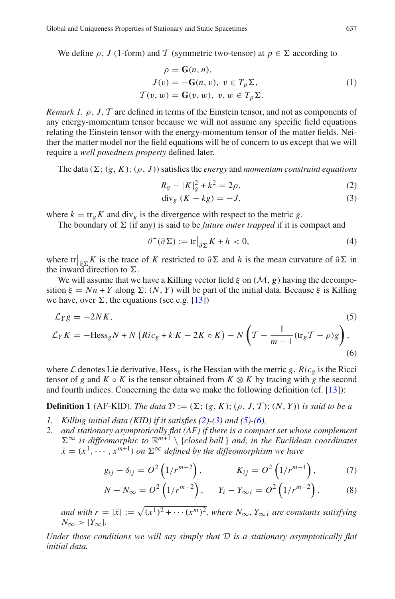We define  $\rho$ , *J* (1-form) and *T* (symmetric two-tensor) at  $p \in \Sigma$  according to

<span id="page-4-4"></span>
$$
\rho = \mathbf{G}(n, n),
$$
  
\n
$$
J(v) = -\mathbf{G}(n, v), v \in T_p \Sigma,
$$
  
\n
$$
\mathcal{T}(v, w) = \mathbf{G}(v, w), v, w \in T_p \Sigma.
$$
\n(1)

*Remark 1.*  $\rho$ *, J, T* are defined in terms of the Einstein tensor, and not as components of any energy-momentum tensor because we will not assume any specific field equations relating the Einstein tensor with the energy-momentum tensor of the matter fields. Neither the matter model nor the field equations will be of concern to us except that we will require a *well posedness property* defined later.

<span id="page-4-1"></span>The data  $(\Sigma; (g, K); (\rho, J))$  satisfies the *energy* and *momentum constraint equations* 

$$
R_g - |K|_g^2 + k^2 = 2\rho,\tag{2}
$$

$$
\text{div}_g (K - kg) = -J,\tag{3}
$$

where  $k = \text{tr}_g K$  and div<sub>g</sub> is the divergence with respect to the metric *g*.

<span id="page-4-3"></span>The boundary of  $\Sigma$  (if any) is said to be *future outer trapped* if it is compact and

$$
\theta^+(\partial\Sigma) := \text{tr}\big|_{\partial\Sigma} K + h < 0,\tag{4}
$$

where  $tr|_{\partial \Sigma} K$  is the trace of *K* restricted to  $\partial \Sigma$  and *h* is the mean curvature of  $\partial \Sigma$  in the inventigation to  $\Sigma$ the inward direction to  $\Sigma$ .

We will assume that we have a Killing vector field  $\xi$  on  $(\mathcal{M}, g)$  having the decomposition  $\xi = Nn + Y$  along  $\Sigma$ . (*N*, *Y*) will be part of the initial data. Because  $\xi$  is Killing we have, over  $\Sigma$ , the equations (see e.g. [\[13](#page-33-5)])

<span id="page-4-2"></span>
$$
\mathcal{L}_Y g = -2NK,
$$
  
\n
$$
\mathcal{L}_Y K = -\text{Hess}_g N + N \left( Ric_g + k K - 2K \circ K \right) - N \left( T - \frac{1}{m-1} (\text{tr}_g T - \rho) g \right),
$$
  
\n(6)

where  $\mathcal L$  denotes Lie derivative, Hess<sub>*g*</sub> is the Hessian with the metric *g*,  $Ric_g$  is the Ricci tensor of *g* and  $K \circ K$  is the tensor obtained from  $K \otimes K$  by tracing with *g* the second and fourth indices. Concerning the data we make the following definition (cf. [\[13\]](#page-33-5)):

<span id="page-4-0"></span>**Definition 1** (AF-KID). *The data*  $\mathcal{D} := (\Sigma; (g, K); (\rho, J, \mathcal{T}); (N, Y))$  *is said to be a* 

- *1. Killing initial data (KID) if it satisfies [\(2\)](#page-4-1)-[\(3\)](#page-4-1) and [\(5\)](#page-4-2)-[\(6\)](#page-4-2),*
- <span id="page-4-5"></span>*2. and stationary asymptotically flat (AF) if there is a compact set whose complement*  $\Sigma^{\infty}$  *is diffeomorphic to*  $\mathbb{R}^{m+1} \setminus \{closed\ ball\}$  *and, in the Euclidean coordinates*  $\bar{x} = (x^1, \dots, x^{m+1})$  *on*  $\Sigma^{\infty}$  *defined by the diffeomorphism we have*

$$
g_{ij} - \delta_{ij} = O^2 \left( 1/r^{m-2} \right),
$$
  $K_{ij} = O^2 \left( 1/r^{m-1} \right),$  (7)

$$
N - N_{\infty} = O^2 \left( 1/r^{m-2} \right), \qquad Y_i - Y_{\infty} = O^2 \left( 1/r^{m-2} \right). \tag{8}
$$

*and with*  $r = |\bar{x}| := \sqrt{(x^1)^2 + \cdots + (x^m)^2}$ , where  $N_\infty$ ,  $Y_{\infty}$  *i* are constants satisfying  $N_{\infty} > |Y_{\infty}|$ .

*Under these conditions we will say simply that D is a stationary asymptotically flat initial data.*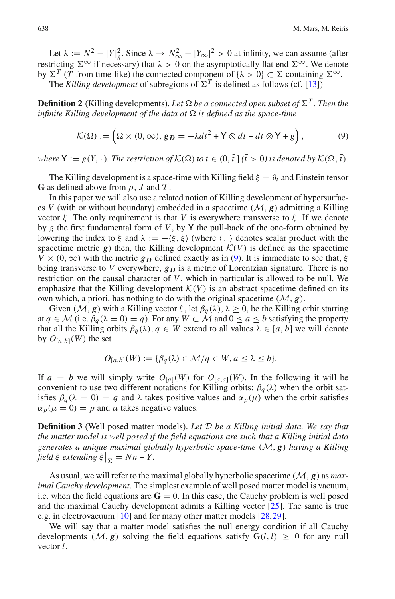Let  $\lambda := N^2 - |Y|_g^2$ . Since  $\lambda \to N_\infty^2 - |Y_\infty|^2 > 0$  at infinity, we can assume (after restricting  $\Sigma^{\infty}$  if necessary) that  $\lambda > 0$  on the asymptotically flat end  $\Sigma^{\infty}$ . We denote by  $\Sigma^T$  (*T* from time-like) the connected component of {λ > 0}  $\subset \Sigma$  containing  $\Sigma^{\infty}$ .

The *Killing development* of subregions of  $\Sigma^T$  is defined as follows (cf. [\[13\]](#page-33-5))

<span id="page-5-1"></span>**Definition 2** (Killing developments). Let  $\Omega$  be a connected open subset of  $\Sigma^T$ . Then the *infinite Killing development of the data at is defined as the space-time*

$$
\mathcal{K}(\Omega) := \left( \Omega \times (0, \infty), g_D = -\lambda dt^2 + \mathsf{Y} \otimes dt + dt \otimes \mathsf{Y} + g \right),\tag{9}
$$

<span id="page-5-0"></span>*where*  $Y := g(Y, \cdot)$ *. The restriction of*  $K(\Omega)$  *to*  $t \in (0, \bar{t}]$   $(\bar{t} > 0)$  *is denoted by*  $K(\Omega, \bar{t})$ *.* 

The Killing development is a space-time with Killing field  $\xi = \partial_t$  and Einstein tensor **G** as defined above from  $\rho$ , *J* and *T*.

In this paper we will also use a related notion of Killing development of hypersurfaces *V* (with or without boundary) embedded in a spacetime  $(M, g)$  admitting a Killing vector ξ. The only requirement is that *V* is everywhere transverse to ξ. If we denote by *g* the first fundamental form of *V*, by Y the pull-back of the one-form obtained by lowering the index to  $\xi$  and  $\lambda := -\langle \xi, \xi \rangle$  (where  $\langle , \rangle$  denotes scalar product with the spacetime metric  $g$ ) then, the Killing development  $K(V)$  is defined as the spacetime  $V \times (0, \infty)$  with the metric  $g_D$  defined exactly as in [\(9\)](#page-5-0). It is immediate to see that,  $\xi$ being transverse to *V* everywhere,  $g_D$  is a metric of Lorentzian signature. There is no restriction on the causal character of *V*, which in particular is allowed to be null. We emphasize that the Killing development  $K(V)$  is an abstract spacetime defined on its own which, a priori, has nothing to do with the original spacetime (*M*, *g*).

Given  $(M, g)$  with a Killing vector  $\xi$ , let  $\beta_q(\lambda)$ ,  $\lambda \geq 0$ , be the Killing orbit starting at  $q \in M$  (i.e.  $\beta_q(\lambda = 0) = q$ ). For any  $W \subset \mathcal{M}$  and  $0 \leq a \leq b$  satisfying the property that all the Killing orbits  $\beta_q(\lambda), q \in W$  extend to all values  $\lambda \in [a, b]$  we will denote by  $O_{[a,b]}(W)$  the set

$$
O_{[a,b]}(W) := \{ \beta_q(\lambda) \in \mathcal{M}/q \in W, a \leq \lambda \leq b \}.
$$

If  $a = b$  we will simply write  $O_{[a]}(W)$  for  $O_{[a,a]}(W)$ . In the following it will be convenient to use two different notations for Killing orbits:  $\beta_q(\lambda)$  when the orbit satisfies  $\beta_q(\lambda = 0) = q$  and  $\lambda$  takes positive values and  $\alpha_p(\mu)$  when the orbit satisfies  $\alpha_p(\mu = 0) = p$  and  $\mu$  takes negative values.

**Definition 3** (Well posed matter models). *Let D be a Killing initial data. We say that the matter model is well posed if the field equations are such that a Killing initial data generates a unique maximal globally hyperbolic space-time* (*M*, *g*) *having a Killing*  $\left| \int_{\Sigma} f(x) \right| \leq C$  *k extending*  $\left| \xi \right|_{\Sigma} = Nn + Y$ .

As usual, we will refer to the maximal globally hyperbolic spacetime (*M*, *g*) as *maximal Cauchy development*. The simplest example of well posed matter model is vacuum, i.e. when the field equations are  $\mathbf{G} = 0$ . In this case, the Cauchy problem is well posed and the maximal Cauchy development admits a Killing vector [\[25](#page-33-6)]. The same is true e.g. in electrovacuum [\[10](#page-32-2)] and for many other matter models [\[28](#page-33-7)[,29](#page-33-8)].

We will say that a matter model satisfies the null energy condition if all Cauchy developments  $(M, g)$  solving the field equations satisfy  $G(l, l) \geq 0$  for any null vector *l*.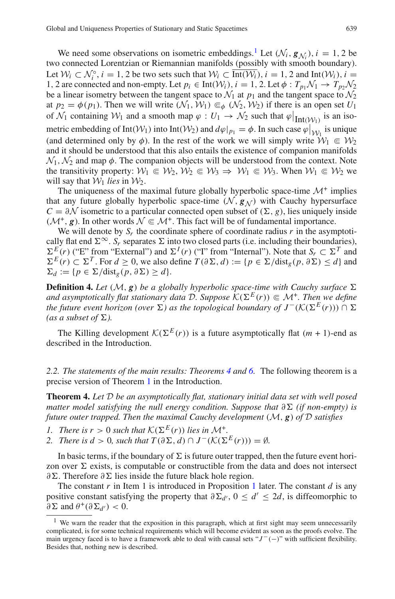We need some observations on isometric embeddings.<sup>[1](#page-6-2)</sup> Let  $(N_i, g_{N_i}), i = 1, 2$  be approached Let antique or Biometric monifolds (possibly with emoch boundary) two connected Lorentzian or Riemannian manifolds (possibly with smooth boundary). Let  $W_i \subset \mathcal{N}_i^{\circ}$ ,  $i = 1, 2$  be two sets such that  $W_i \subset \overline{\text{Int}(W_i)}$ ,  $i = 1, 2$  and  $\text{Int}(W_i)$ ,  $i = 1, 2, \dots, n$ 1, 2 are connected and non-empty. Let  $p_i \in \text{Int}(\mathcal{W}_i)$ ,  $i = 1, 2$ . Let  $\phi : T_{p_1} \mathcal{N}_1 \to T_{p_2} \mathcal{N}_2$ be a linear isometry between the tangent space to  $\mathcal{N}_1$  at  $p_1$  and the tangent space to  $\mathcal{N}_2$ at  $p_2 = \phi(p_1)$ . Then we will write  $(\mathcal{N}_1, \mathcal{W}_1) \subseteq_{\phi} (\mathcal{N}_2, \mathcal{W}_2)$  if there is an open set  $U_1$ of  $\mathcal{N}_1$  containing  $\mathcal{W}_1$  and a smooth map  $\varphi : U_1 \to \mathcal{N}_2$  such that  $\varphi|_{\text{Int}(\mathcal{W}_1)}$  is an isometric embedding of Int(*W*<sub>1</sub>) into Int(*W*<sub>2</sub>) and  $d\phi|_{p_1} = \phi$ . In such case  $\phi|_{W_1}$  is unique (and determined only by  $\phi$ ). In the rest of the work we will simply write  $W_1 \in W_2$ and it should be understood that this also entails the existence of companion manifolds  $\mathcal{N}_1, \mathcal{N}_2$  and map  $\phi$ . The companion objects will be understood from the context. Note the transitivity property:  $W_1 \in W_2$ ,  $W_2 \in W_3 \Rightarrow W_1 \in W_3$ . When  $W_1 \in W_2$  we will say that  $W_1$  *lies* in  $W_2$ .

The uniqueness of the maximal future globally hyperbolic space-time  $M^+$  implies that any future globally hyperbolic space-time  $(N, g<sub>N</sub>)$  with Cauchy hypersurface *C* =  $\partial$ *N* isometric to a particular connected open subset of (Σ, *g*), lies uniquely inside  $(\mathcal{M}^+, g)$ . In other words  $\mathcal{N} \subseteq \mathcal{M}^+$ . This fact will be of fundamental importance.

We will denote by  $S_r$  the coordinate sphere of coordinate radius  $r$  in the asymptotically flat end  $\Sigma^{\infty}$ . *S<sub>r</sub>* separates  $\Sigma$  into two closed parts (i.e. including their boundaries),  $\Sigma^{E}(r)$  ("E" from "External") and  $\Sigma^{I}(r)$  ("I" from "Internal"). Note that  $S_r \subset \Sigma^{T}$  and  $\Sigma^E(r) \subset \Sigma^T$ . For  $d \ge 0$ , we also define  $T(\partial \Sigma, d) := \{p \in \Sigma / \text{dist}_g(p, \partial \Sigma) \le d\}$  and  $\Sigma_d := \{ p \in \Sigma / \text{dist}_g(p, \partial \Sigma) \geq d \}.$ 

**Definition 4.** Let  $(M, g)$  be a globally hyperbolic space-time with Cauchy surface  $\Sigma$ *and asymptotically flat stationary data*  $\mathcal{D}$ *. Suppose*  $\mathcal{K}(\Sigma^E(r)) \subseteq \mathcal{M}^+$ *. Then we define the future event horizon (over*  $\Sigma$ ) as the topological boundary of  $J^-(\mathcal{K}(\Sigma^E(r))) \cap \Sigma$ *(as a subset of*  $\Sigma$ *).* 

The Killing development  $\mathcal{K}(\Sigma^E(r))$  is a future asymptotically flat  $(m + 1)$ -end as described in the Introduction.

<span id="page-6-1"></span>*2.2. The statements of the main results: Theorems [4](#page-6-0) and [6.](#page-7-0)* The following theorem is a precise version of Theorem [1](#page-1-1) in the Introduction.

<span id="page-6-0"></span>**Theorem 4.** *Let D be an asymptotically flat, stationary initial data set with well posed matter model satisfying the null energy condition. Suppose that*  $\partial \Sigma$  *(if non-empty) is future outer trapped. Then the maximal Cauchy development* (*M*, *g*) *of D satisfies*

- <span id="page-6-4"></span><span id="page-6-3"></span>*1. There is*  $r > 0$  *such that*  $K(\Sigma^E(r))$  *lies in*  $\mathcal{M}^+$ *.*
- *2. There is d* > 0*, such that*  $T(\partial \Sigma, d) \cap J^{-}(\mathcal{K}(\Sigma^{E}(r))) = \emptyset$ *.*

In basic terms, if the boundary of  $\Sigma$  is future outer trapped, then the future event horizon over  $\Sigma$  exists, is computable or constructible from the data and does not intersect  $\partial \Sigma$ . Therefore  $\partial \Sigma$  lies inside the future black hole region.

The constant  $r$  in Item [1](#page-7-3) is introduced in Proposition 1 later. The constant  $d$  is any positive constant satisfying the property that  $\partial \Sigma_{d}$ ,  $0 \le d' \le 2d$ , is diffeomorphic to  $\partial \Sigma$  and  $\theta^+(\partial \Sigma_{d'}) < 0$ .

<span id="page-6-2"></span><sup>&</sup>lt;sup>1</sup> We warn the reader that the exposition in this paragraph, which at first sight may seem unnecessarily complicated, is for some technical requirements which will become evident as soon as the proofs evolve. The main urgency faced is to have a framework able to deal with causal sets "*J*−(−)" with sufficient flexibility. Besides that, nothing new is described.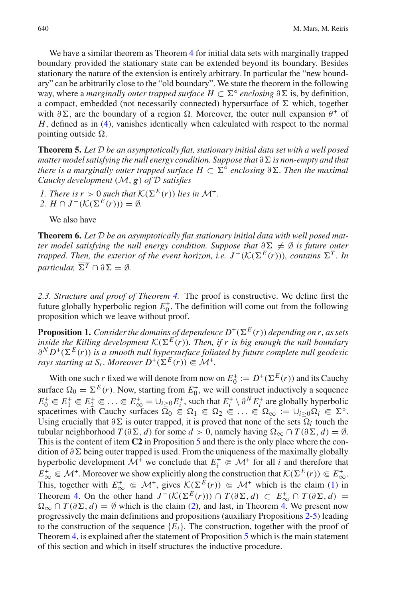We have a similar theorem as Theorem [4](#page-6-0) for initial data sets with marginally trapped boundary provided the stationary state can be extended beyond its boundary. Besides stationary the nature of the extension is entirely arbitrary. In particular the "new boundary" can be arbitrarily close to the "old boundary". We state the theorem in the following way, where a *marginally outer trapped surface*  $H \subset \Sigma^{\circ}$  *enclosing* ∂  $\Sigma$  is, by definition, a compact, embedded (not necessarily connected) hypersurface of  $\Sigma$  which, together with  $\partial \Sigma$ , are the boundary of a region Ω. Moreover, the outer null expansion  $\theta^+$  of *H*, defined as in [\(4\)](#page-4-3), vanishes identically when calculated with respect to the normal pointing outside .

<span id="page-7-2"></span>**Theorem 5.** *Let D be an asymptotically flat, stationary initial data set with a well posed matter model satisfying the null energy condition. Suppose that* ∂ *is non-empty and that there is a marginally outer trapped surface*  $H \subset \Sigma^{\circ}$  *enclosing*  $\partial \Sigma$ *. Then the maximal Cauchy development* (*M*, *g*) *of D satisfies*

*1. There is*  $r > 0$  *such that*  $K(\Sigma^E(r))$  *lies in*  $\mathcal{M}^+$ *.* 2.  $H \cap J^{-}(\mathcal{K}(\Sigma^{E}(r))) = \emptyset$ .

We also have

<span id="page-7-0"></span>**Theorem 6.** *Let D be an asymptotically flat stationary initial data with well posed matter model satisfying the null energy condition. Suppose that*  $\partial \Sigma \neq \emptyset$  *is future outer trapped. Then, the exterior of the event horizon, i.e.*  $J^-(\mathcal{K}(\Sigma^E(r)))$ *, contains*  $\Sigma^T$ *. In particular,*  $\overline{\Sigma^T} \cap \partial \Sigma = \emptyset$ .

<span id="page-7-1"></span>*2.3. Structure and proof of Theorem [4.](#page-6-0)* The proof is constructive. We define first the future globally hyperbolic region  $E_0^+$ . The definition will come out from the following proposition which we leave without proof.

<span id="page-7-3"></span>**Proposition 1.** *Consider the domains of dependence*  $D^+(\Sigma^E(r))$  *depending on r, as sets inside the Killing development*  $K(\Sigma^E(r))$ *. Then, if r is big enough the null boundary* ∂ *<sup>N</sup> D*+(*<sup>E</sup>* (*r*)) *is a smooth null hypersurface foliated by future complete null geodesic rays starting at S<sub>r</sub>. Moreover*  $D^+(\Sigma^E(r)) \subseteq \mathcal{M}^+$ .

With one such *r* fixed we will denote from now on  $E_0^+ := D^+(\Sigma^E(r))$  and its Cauchy surface  $\Omega_0 = \Sigma^E(r)$ . Now, starting from  $E_0^+$ , we will construct inductively a sequence  $E_0^+ \in E_1^+ \in E_2^+ \in \ldots \in E_{\infty}^+ = \cup_{i \geq 0} E_i^+$ , such that  $E_i^+ \setminus \partial^N E_i^+$  are globally hyperbolic spacetimes with Cauchy surfaces  $\overline{\Omega}_0 \subseteq \Omega_1 \subseteq \Omega_2 \subseteq \ldots \subseteq \Omega_\infty := \cup_{i \geq 0} \overline{\Omega}_i \subseteq \Sigma^\circ$ . Using crucially that  $\partial \Sigma$  is outer trapped, it is proved that none of the sets  $\Omega_i$  touch the tubular neighborhood  $T(\partial \Sigma, d)$  for some  $d > 0$ , namely having  $\Omega_{\infty} \cap T(\partial \Sigma, d) = \emptyset$ . This is the content of item **C2** in Proposition [5](#page-9-2) and there is the only place where the condition of  $\partial \Sigma$  being outer trapped is used. From the uniqueness of the maximally globally hyperbolic development  $\mathcal{M}^+$  we conclude that  $E_i^+ \in \mathcal{M}^+$  for all *i* and therefore that  $E^+_{\infty} \in \mathcal{M}^+$ . Moreover we show explicitly along the construction that  $\mathcal{K}(\Sigma^E(r)) \Subset E^+_{\infty}$ . This, together with  $E^+_{\infty} \in \mathcal{M}^+$ , gives  $\mathcal{K}(\Sigma^E(r)) \in \mathcal{M}^+$  which is the claim [\(1\)](#page-6-3) in Theorem [4.](#page-6-0) On the other hand  $J^-(\mathcal{K}(\Sigma^E(r))) \cap T(\partial \Sigma, d) \subset E^+_{\infty} \cap T(\partial \Sigma, d) =$  $\Omega_{\infty} \cap T(\partial \Sigma, d) = \emptyset$  which is the claim [\(2\)](#page-6-4), and last, in Theorem [4.](#page-6-0) We present now progressively the main definitions and propositions (auxiliary Propositions [2-](#page-8-0)[5\)](#page-9-2) leading to the construction of the sequence  ${E_i}$ . The construction, together with the proof of Theorem [4,](#page-6-0) is explained after the statement of Proposition [5](#page-9-2) which is the main statement of this section and which in itself structures the inductive procedure.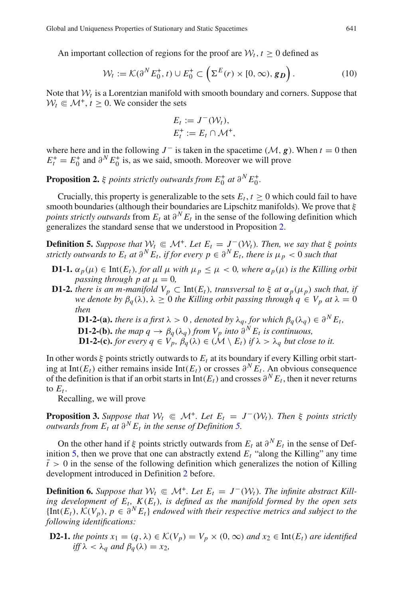An important collection of regions for the proof are  $W_t$ ,  $t > 0$  defined as

$$
\mathcal{W}_t := \mathcal{K}(\partial^N E_0^+, t) \cup E_0^+ \subset \left(\Sigma^E(r) \times [0, \infty), g_D\right). \tag{10}
$$

Note that  $W_t$  is a Lorentzian manifold with smooth boundary and corners. Suppose that  $W_t \in \mathcal{M}^+, t \geq 0$ . We consider the sets

$$
E_t := J^-(\mathcal{W}_t),
$$
  

$$
E_t^+ := E_t \cap \mathcal{M}^+,
$$

<span id="page-8-0"></span>where here and in the following  $J^-$  is taken in the spacetime ( $M$ ,  $g$ ). When  $t = 0$  then  $E_t^+ = E_0^+$  and  $\partial^N E_0^+$  is, as we said, smooth. Moreover we will prove

**Proposition 2.**  $\xi$  *points strictly outwards from*  $E_0^+$  *at*  $\partial^N E_0^+$ *.* 

Crucially, this property is generalizable to the sets  $E_t$ ,  $t \geq 0$  which could fail to have smooth boundaries (although their boundaries are Lipschitz manifolds). We prove that  $\xi$ *points strictly outwards* from  $E_t$  at  $\partial^N E_t$  in the sense of the following definition which generalizes the standard sense that we understood in Proposition [2.](#page-8-0)

<span id="page-8-2"></span>**Definition 5.** Suppose that  $W_t \\\in \mathcal{M}^+$ . Let  $E_t = J^-(W_t)$ . Then, we say that  $\xi$  points *strictly outwards to*  $E_t$  *at*  $\partial^N E_t$ *, if for every*  $p \in \partial^N E_t$ *, there is*  $\mu_p < 0$  *such that* 

- **D1-1.**  $\alpha_p(\mu) \in \text{Int}(E_t)$ , for all  $\mu$  with  $\mu_p \leq \mu < 0$ , where  $\alpha_p(\mu)$  is the Killing orbit *passing through p at*  $\mu = 0$ ,
- **D1-2.** *there is an m-manifold*  $V_p \subset \text{Int}(E_t)$ *, transversal to*  $\xi$  *at*  $\alpha_p(\mu_p)$  *such that, if we denote by*  $\beta_q(\lambda)$ ,  $\lambda \geq 0$  *the Killing orbit passing through*  $q \in V_p$  *at*  $\lambda = 0$ *then*

**D1-2-(a).** *there is a first*  $\lambda > 0$ , *denoted by*  $\lambda_q$ , *for which*  $\beta_q(\lambda_q) \in \partial^N E_t$ , **D1-2-(b).** *the map*  $q \to \beta_q(\lambda_q)$  *from*  $V_p$  *into*  $\partial^N E_t$  *is continuous,* **D1-2-(c).** *for every*  $q \in V_p$ *,*  $\beta_q(\lambda) \in (\mathcal{M} \setminus E_t)$  *if*  $\lambda > \lambda_q$  *but close to it.* 

In other words  $\xi$  points strictly outwards to  $E_t$  at its boundary if every Killing orbit starting at Int( $E_t$ ) either remains inside Int( $E_t$ ) or crosses  $\partial^N E_t$ . An obvious consequence of the definition is that if an orbit starts in  $Int(E_t)$  and crosses  $\partial^N E_t$ , then it never returns to  $E_t$ .

Recalling, we will prove

<span id="page-8-1"></span>**Proposition 3.** Suppose that  $W_t \subseteq M^+$ . Let  $E_t = J^-(W_t)$ . Then  $\xi$  points strictly *outwards from*  $E_t$  *at*  $\partial^N E_t$  *in the sense of Definition [5.](#page-8-2)* 

On the other hand if  $\xi$  points strictly outwards from  $E_t$  at  $\partial^N E_t$  in the sense of Definition  $5$ , then we prove that one can abstractly extend  $E_t$  "along the Killing" any time  $\bar{t} > 0$  in the sense of the following definition which generalizes the notion of Killing development introduced in Definition [2](#page-5-1) before.

**Definition 6.** Suppose that  $W_t \in \mathcal{M}^+$ . Let  $E_t = J^-(W_t)$ . The infinite abstract Kill*ing development of*  $E_t$ *,*  $K(E_t)$ *, is defined as the manifold formed by the open sets*  ${\rm Int}(E_t)$ ,  $\mathcal{K}(V_p)$ ,  $p \in \partial^N E_t$  *endowed with their respective metrics and subject to the following identifications:*

**D2-1.** *the points* 
$$
x_1 = (q, \lambda) \in \mathcal{K}(V_p) = V_p \times (0, \infty)
$$
 *and*  $x_2 \in \text{Int}(E_t)$  *are identified iff*  $\lambda < \lambda_q$  *and*  $\beta_q(\lambda) = x_2$ ,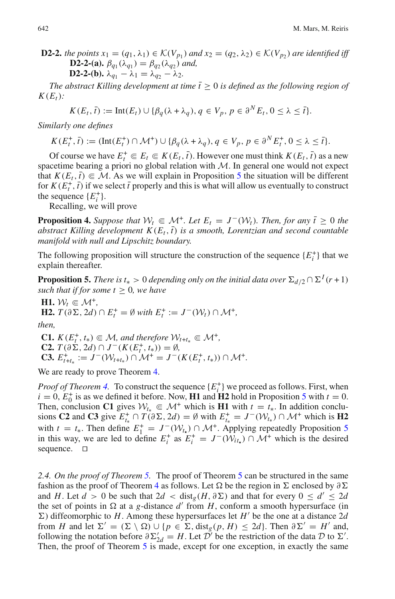**D2-2.** *the points*  $x_1 = (q_1, \lambda_1) \in K(V_{p_1})$  *and*  $x_2 = (q_2, \lambda_2) \in K(V_{p_2})$  *are identified iff* **D2-2-(a).**  $\beta_{q_1}(\lambda_{q_1}) = \beta_{q_2}(\lambda_{q_2})$  *and,* **D2-2-(b).**  $\lambda_{q_1} - \lambda_1 = \lambda_{q_2} - \lambda_2$ .

*The abstract Killing development at time*  $\bar{t} \geq 0$  *is defined as the following region of*  $K(E_t)$ :

$$
K(E_t, \overline{t}) := \text{Int}(E_t) \cup \{ \beta_q(\lambda + \lambda_q), q \in V_p, p \in \partial^N E_t, 0 \le \lambda \le \overline{t} \}.
$$

*Similarly one defines*

$$
K(E_t^+, \overline{t}) := (\text{Int}(E_t^+) \cap \mathcal{M}^+) \cup \{ \beta_q(\lambda + \lambda_q), q \in V_p, p \in \partial^N E_t^+, 0 \le \lambda \le \overline{t} \}.
$$

Of course we have  $E_t^+ \in E_t \in K(E_t, \bar{t})$ . However one must think  $K(E_t, \bar{t})$  as a new spacetime bearing a priori no global relation with *M*. In general one would not expect that  $K(E_t, \bar{t}) \in \mathcal{M}$ . As we will explain in Proposition [5](#page-9-2) the situation will be different for  $K(E_t^+, \bar{t})$  if we select  $\bar{t}$  properly and this is what will allow us eventually to construct the sequence  $\{E_i^+\}$ .

Recalling, we will prove

<span id="page-9-1"></span>**Proposition 4.** *Suppose that*  $W_t \subseteq M^+$ *. Let*  $E_t = J^-(W_t)$ *. Then, for any*  $\bar{t} \geq 0$  *the abstract Killing development*  $K(E_t, \bar{t})$  *is a smooth, Lorentzian and second countable manifold with null and Lipschitz boundary.*

The following proposition will structure the construction of the sequence  $\{E_i^+\}$  that we explain thereafter.

<span id="page-9-2"></span>**Proposition 5.** *There is*  $t_* > 0$  *depending only on the initial data over*  $\Sigma_{d/2} \cap \Sigma^I(r+1)$ *such that if for some*  $t \geq 0$ *, we have* 

 $\mathbf{H1.} \mathcal{W}_t \in \mathcal{M}^+$ , **H2.**  $T(\partial \Sigma, 2d) \cap E_t^+ = \emptyset$  with  $E_t^+ := J^-(\mathcal{W}_t) \cap \mathcal{M}^+$ ,

*then,*

 $\mathbf{C1.} K(E_t^+, t_*) \subseteq \mathcal{M}$ , and therefore  $\mathcal{W}_{t+t_*} \subseteq \mathcal{M}^+$ , **C2.**  $T(\partial \Sigma, 2d) \cap J^-(K(E_t^+, t_*)) = \emptyset$ , **C3.**  $E_{t+t_*}^+ := J^-(\mathcal{W}_{t+t_*}) \cap \mathcal{M}^+ = J^-(K(E_t^+, t_*)) \cap \mathcal{M}^+$ .

We are ready to prove Theorem [4.](#page-6-0)

*Proof of Theorem [4.](#page-6-0)* To construct the sequence  $\{E_i^+\}$  we proceed as follows. First, when  $i = 0$ ,  $E_0^+$  is as we defined it before. Now, **H1** and **H2** hold in Proposition [5](#page-9-2) with  $t = 0$ . Then, conclusion **C1** gives  $W_{t*} \\\in M^+$  which is **H1** with  $t = t_*$ . In addition conclusions **C2** and **C3** give  $E_{t_*}^+ \cap T(\partial \Sigma, 2d) = \emptyset$  with  $E_{t_*}^+ = J^-(\mathcal{W}_{t_*}) \cap \mathcal{M}^+$  which is H2 with  $t = t_*$ . Then define  $E_1^+ = J^-(\mathcal{W}_{t_*}) \cap \mathcal{M}^+$ . Applying repeatedly Proposition [5](#page-9-2) in this way, we are led to define  $E_i^+$  as  $E_i^+ = J^-(\hat{W}_{i\tau}) \cap \hat{M}^+$  which is the desired sequence.  $\square$ 

<span id="page-9-0"></span>*2.4. On the proof of Theorem [5.](#page-7-2)* The proof of Theorem [5](#page-7-2) can be structured in the same fashion as the proof of Theorem [4](#page-6-0) as follows. Let  $\Omega$  be the region in  $\Sigma$  enclosed by  $\partial \Sigma$ and *H*. Let  $d > 0$  be such that  $2d < \text{dist}_p(H, \partial \Sigma)$  and that for every  $0 \le d' \le 2d$ the set of points in  $\Omega$  at a *g*-distance  $d'$  from  $H$ , conform a smooth hypersurface (in  $\Sigma$ ) diffeomorphic to *H*. Among these hypersurfaces let *H'* be the one at a distance 2*d* from *H* and let  $\Sigma' = (\Sigma \setminus \Omega) \cup \{p \in \Sigma, \text{dist}_{g}(p, H) \leq 2d\}$ . Then  $\partial \Sigma' = H'$  and, following the notation before  $\partial \Sigma_{2d}' = H$ . Let  $\overline{\mathcal{D}}'$  be the restriction of the data  $\mathcal D$  to  $\Sigma'$ . Then, the proof of Theorem [5](#page-7-2) is made, except for one exception, in exactly the same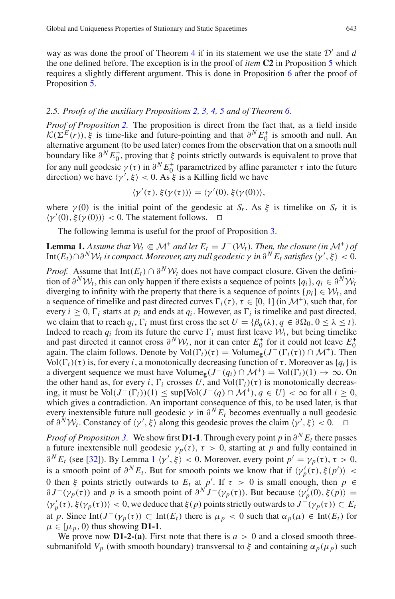way as was done the proof of Theorem  $4$  if in its statement we use the state  $D'$  and  $d$ the one defined before. The exception is in the proof of *item* **C2** in Proposition [5](#page-9-2) which requires a slightly different argument. This is done in Proposition [6](#page-16-0) after the proof of Proposition [5.](#page-9-2)

#### <span id="page-10-0"></span>*2.5. Proofs of the auxiliary Propositions [2,](#page-8-0) [3,](#page-8-1) [4,](#page-9-1) [5](#page-9-2) and of Theorem [6.](#page-7-0)*

*Proof of Proposition [2.](#page-8-0)* The proposition is direct from the fact that, as a field inside  $\mathcal{K}(\Sigma^E(r))$ ,  $\xi$  is time-like and future-pointing and that  $\partial^N E_0^+$  is smooth and null. An alternative argument (to be used later) comes from the observation that on a smooth null boundary like  $\partial^N E_0^+$ , proving that  $\xi$  points strictly outwards is equivalent to prove that for any null geodesic  $\gamma(\tau)$  in  $\partial^N E_0^+$  (parametrized by affine parameter  $\tau$  into the future direction) we have  $\langle \gamma', \xi \rangle < 0$ . As  $\xi$  is a Killing field we have

$$
\langle \gamma'(\tau), \xi(\gamma(\tau)) \rangle = \langle \gamma'(0), \xi(\gamma(0)) \rangle,
$$

where  $\gamma(0)$  is the initial point of the geodesic at  $S_r$ . As  $\xi$  is timelike on  $S_r$  it is  $\langle \gamma'(0), \xi(\gamma(0)) \rangle$  < 0. The statement follows.  $\square$ 

The following lemma is useful for the proof of Proposition [3.](#page-8-1)

<span id="page-10-1"></span>**Lemma 1.** *Assume that*  $W_t \subseteq M^+$  *and let*  $E_t = J^-(W_t)$ *. Then, the closure (in*  $M^+$ ) *of*  $\sum_{i=1}^N I_i^-(W_t)$  $\text{Int}(E_t) \cap \partial^N \mathcal{W}_t$  *is compact. Moreover, any null geodesic*  $\gamma$  *in*  $\partial^N E_t$  *satisfies*  $\langle \gamma', \xi \rangle < 0$ *.* 

*Proof.* Assume that Int( $E_t$ ) ∩  $\partial^N W_t$  does not have compact closure. Given the definition of  $\partial^N \mathcal{W}_t$ , this can only happen if there exists a sequence of points  $\{q_i\}$ ,  $q_i \in \partial^N \mathcal{W}_t$ diverging to infinity with the property that there is a sequence of points  $\{p_i\} \in \mathcal{W}_t$ , and a sequence of timelike and past directed curves  $\Gamma_i(\tau)$ ,  $\tau \in [0, 1]$  (in  $\mathcal{M}^+$ ), such that, for every  $i \geq 0$ ,  $\Gamma_i$  starts at  $p_i$  and ends at  $q_i$ . However, as  $\Gamma_i$  is timelike and past directed, we claim that to reach  $q_i$ ,  $\Gamma_i$  must first cross the set  $U = \{\beta_q(\lambda), q \in \partial \Omega_0, 0 \le \lambda \le t\}.$ Indeed to reach  $q_i$  from its future the curve  $\Gamma_i$  must first leave  $W_t$ , but being timelike and past directed it cannot cross  $\partial^N \mathcal{W}_t$ , nor it can enter  $E_0^+$  for it could not leave  $E_0^+$ again. The claim follows. Denote by Vol( $\Gamma_i$ )( $\tau$ ) = Volume<sub>g</sub>( $J^-(\Gamma_i(\tau)) \cap \mathcal{M}^+$ ). Then Vol( $\Gamma_i$ )( $\tau$ ) is, for every *i*, a monotonically decreasing function of  $\tau$ . Moreover as {*q<sub>i</sub>*} is a divergent sequence we must have Volume<sub>g</sub>( $J^-(q_i) \cap M^+$ ) = Vol( $\Gamma_i$ )(1)  $\rightarrow \infty$ . On the other hand as, for every *i*,  $\Gamma_i$  crosses *U*, and Vol $(\Gamma_i)(\tau)$  is monotonically decreasing, it must be Vol(*<sup>J</sup>* <sup>−</sup>(*i*))(1) <sup>≤</sup> sup{Vol(*<sup>J</sup>* <sup>−</sup>(*q*) <sup>∩</sup> *<sup>M</sup>*+), *<sup>q</sup>* <sup>∈</sup> *<sup>U</sup>*} <sup>&</sup>lt; <sup>∞</sup> for all *<sup>i</sup>* <sup>≥</sup> 0, which gives a contradiction. An important consequence of this, to be used later, is that every inextensible future null geodesic  $\gamma$  in  $\partial^N E_t$  becomes eventually a null geodesic of  $\partial^N \mathcal{W}_t$ . Constancy of  $\langle \gamma', \xi \rangle$  along this geodesic proves the claim  $\langle \gamma', \xi \rangle < 0$ .  $\Box$ 

*Proof of Proposition* [3.](#page-8-1) We show first **D1-1**. Through every point *p* in  $\partial^N E_t$  there passes a future inextensible null geodesic  $\gamma_p(\tau)$ ,  $\tau > 0$ , starting at p and fully contained in  $\partial^{N} E_t$  (see [\[32](#page-33-4)]). By Lemma [1](#page-10-1)  $\langle \gamma', \xi \rangle < 0$ . Moreover, every point  $p' = \gamma_p(\tau), \tau > 0$ , is a smooth point of  $\partial^N E_t$ . But for smooth points we know that if  $\langle \gamma'_p(\tau), \xi(p') \rangle$  < 0 then  $\xi$  points strictly outwards to  $E_t$  at  $p'$ . If  $\tau > 0$  is small enough, then  $p \in$  $\partial J^-(\gamma_p(\tau))$  and *p* is a smooth point of  $\partial^N J^-(\gamma_p(\tau))$ . But because  $\langle \gamma_p(0), \xi(p) \rangle =$  $\langle \gamma_p'(\tau), \xi(\gamma_p(\tau)) \rangle < 0$ , we deduce that  $\xi(p)$  points strictly outwards to  $J^-(\gamma_p(\tau)) \subset E_p$ at *p*. Since Int( $J^-(\gamma_p(\tau)) \subset \text{Int}(E_t)$  there is  $\mu_p < 0$  such that  $\alpha_p(\mu) \in \text{Int}(E_t)$  for  $\mu \in [\mu_p, 0]$  thus showing **D1-1**.

We prove now **D1-2-(a)**. First note that there is  $a > 0$  and a closed smooth threesubmanifold  $V_p$  (with smooth boundary) transversal to  $\xi$  and containing  $\alpha_p(\mu_p)$  such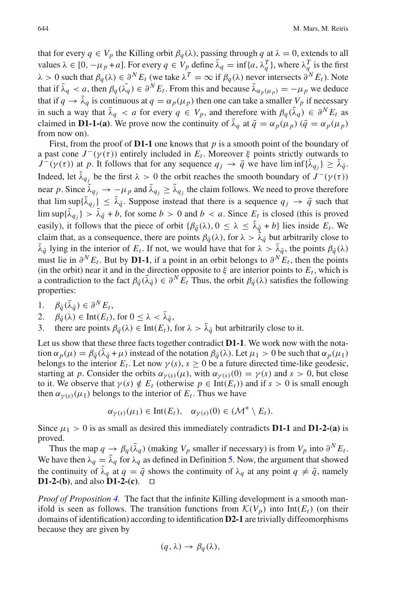that for every  $q \in V_p$  the Killing orbit  $\beta_q(\lambda)$ , passing through *q* at  $\lambda = 0$ , extends to all values  $\lambda \in [0, -\mu_p + a]$ . For every  $q \in V_p$  define  $\bar{\lambda}_q = \inf\{a, \lambda_q^T\}$ , where  $\lambda_q^T$  is the first  $λ$  > 0 such that  $β<sub>q</sub>(λ) ∈ ∂<sup>N</sup>E<sub>t</sub>$  (we take  $λ<sup>T</sup> = ∞$  if  $β<sub>q</sub>(λ)$  never intersects  $∂<sup>N</sup>E<sub>t</sub>$ ). Note that if  $\bar{\lambda}_q < a$ , then  $\beta_q(\bar{\lambda_q}) \in \partial^N E_t$ . From this and because  $\bar{\lambda}_{\alpha_p(\mu_p)} = -\mu_p$  we deduce that if  $q \to \bar{\lambda}_q$  is continuous at  $q = \alpha_p(\mu_p)$  then one can take a smaller  $V_p$  if necessary in such a way that  $\bar{\lambda}_q \prec a$  for every  $q \in V_p$ , and therefore with  $\beta_q(\bar{\lambda}_q) \in \partial^N E_t$  as claimed in **D1-1-(a)**. We prove now the continuity of  $\bar{\lambda}_q$  at  $\bar{q} = \alpha_p(\mu_p)$  ( $\bar{q} = \alpha_p(\mu_p)$ ) from now on).

First, from the proof of **D1-1** one knows that *p* is a smooth point of the boundary of a past cone  $J^-(\gamma(\tau))$  entirely included in  $E_t$ . Moreover  $\xi$  points strictly outwards to *J* − ( $\gamma(\tau)$ ) at *p*. It follows that for any sequence  $q_j \to \bar{q}$  we have lim inf{ $\bar{\lambda}_{q_j}$ } ≥  $\bar{\lambda}_{\bar{q}}$ . Indeed, let  $\tilde{\lambda}_q$  be the first  $\lambda > 0$  the orbit reaches the smooth boundary of  $J^-(\gamma(\tau))$ near *p*. Since  $\tilde{\lambda}_{q_i} \to -\mu_p$  and  $\bar{\lambda}_{q_i} \ge \tilde{\lambda}_{q_i}$  the claim follows. We need to prove therefore that  $\limsup{\{\bar{\lambda}_{q}}\}\leq \bar{\lambda}_{\bar{q}}$ . Suppose instead that there is a sequence  $q_i \to \bar{q}$  such that  $\limsup{\{\overline{\lambda}_{q}}\} > \overline{\lambda}_{\overline{q}} + b$ , for some  $b > 0$  and  $b < a$ . Since  $E_t$  is closed (this is proved easily), it follows that the piece of orbit { $\beta_{\bar{q}}(\lambda)$ ,  $0 \leq \lambda \leq \bar{\lambda}_{\bar{q}} + b$ } lies inside  $E_t$ . We claim that, as a consequence, there are points  $\beta_{\bar{q}}(\lambda)$ , for  $\lambda > \bar{\lambda}_{\bar{q}}$  but arbitrarily close to  $\bar{\lambda}_{\bar{q}}$  lying in the interior of  $E_t$ . If not, we would have that for  $\lambda > \bar{\lambda}_{\bar{q}}$ , the points  $\beta_{\bar{q}}(\lambda)$ must lie in  $\partial^{N} E_{t}$ . But by **D1-1**, if a point in an orbit belongs to  $\partial^{N} E_{t}$ , then the points (in the orbit) near it and in the direction opposite to  $\xi$  are interior points to  $E_t$ , which is a contradiction to the fact  $\beta_{\bar{q}}(\bar{\lambda}_{\bar{q}}) \in \partial^N E_t$ . Thus, the orbit  $\beta_{\bar{q}}(\lambda)$  satisfies the following properties:

- 1.  $\beta_{\bar{a}}(\bar{\lambda}_{\bar{a}}) \in \partial^N E_t$ ,
- 2.  $\beta_{\bar{q}}(\lambda) \in \text{Int}(E_t)$ , for  $0 \leq \lambda < \bar{\lambda}_{\bar{q}},$
- 3. there are points  $\beta_{\bar{q}}(\lambda) \in \text{Int}(E_t)$ , for  $\lambda > \bar{\lambda}_{\bar{q}}$  but arbitrarily close to it.

Let us show that these three facts together contradict **D1-1**. We work now with the notation  $\alpha_p(\mu) = \beta_{\bar{q}}(\lambda_{\bar{q}} + \mu)$  instead of the notation  $\beta_{\bar{q}}(\lambda)$ . Let  $\mu_1 > 0$  be such that  $\alpha_p(\mu_1)$ belongs to the interior  $E_t$ . Let now  $\gamma(s)$ ,  $s \ge 0$  be a future directed time-like geodesic, starting at *p*. Consider the orbits  $\alpha_{\nu(s)}(\mu)$ , with  $\alpha_{\nu(s)}(0) = \gamma(s)$  and  $s > 0$ , but close to it. We observe that  $\gamma(s) \notin E_t$  (otherwise  $p \in \text{Int}(E_t)$ ) and if  $s > 0$  is small enough then  $\alpha_{\gamma(s)}(\mu_1)$  belongs to the interior of  $E_t$ . Thus we have

$$
\alpha_{\gamma(s)}(\mu_1) \in \mathrm{Int}(E_t), \quad \alpha_{\gamma(s)}(0) \in (\mathcal{M}^+ \setminus E_t).
$$

Since  $\mu_1 > 0$  is as small as desired this immediately contradicts **D1-1** and **D1-2-(a)** is proved.

Thus the map  $q \to \beta_q(\bar{\lambda}_q)$  (making  $V_p$  smaller if necessary) is from  $V_p$  into  $\partial^N E_t$ . We have then  $\lambda_q = \overline{\lambda}_q$  for  $\lambda_q$  as defined in Definition [5.](#page-8-2) Now, the argument that showed the continuity of  $\bar{\lambda}_q$  at  $q = \bar{q}$  shows the continuity of  $\lambda_q$  at any point  $q \neq \bar{q}$ , namely **D1-2-(b)**, and also **D1-2-(c)**.  $□$ 

*Proof of Proposition [4.](#page-9-1)* The fact that the infinite Killing development is a smooth manifold is seen as follows. The transition functions from  $\mathcal{K}(V_p)$  into  $Int(E_t)$  (on their domains of identification) according to identification **D2-1** are trivially diffeomorphisms because they are given by

$$
(q,\lambda)\to \beta_q(\lambda),
$$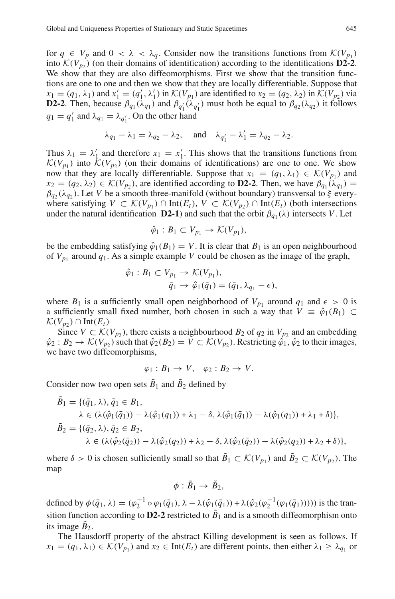for  $q \in V_p$  and  $0 < \lambda < \lambda_q$ . Consider now the transitions functions from  $\mathcal{K}(V_{p_1})$ into  $\mathcal{K}(V_p)$  (on their domains of identification) according to the identifications **D2-2**. We show that they are also diffeomorphisms. First we show that the transition functions are one to one and then we show that they are locally differentiable. Suppose that  $x_1 = (q_1, \lambda_1)$  and  $x_1' = (q_1', \lambda_1')$  in  $\mathcal{K}(V_{p_1})$  are identified to  $x_2 = (q_2, \lambda_2)$  in  $\mathcal{K}(V_{p_2})$  via **D2-2**. Then, because  $\beta_{q_1}(\lambda_{q_1})$  and  $\beta_{q'_1}(\lambda_{q'_1})$  must both be equal to  $\beta_{q_2}(\lambda_{q_2})$  it follows  $q_1 = q'_1$  and  $\lambda_{q_1} = \lambda_{q'_1}$ . On the other hand

$$
\lambda_{q_1} - \lambda_1 = \lambda_{q_2} - \lambda_2
$$
, and  $\lambda_{q'_1} - \lambda'_1 = \lambda_{q_2} - \lambda_2$ .

Thus  $\lambda_1 = \lambda'_1$  and therefore  $x_1 = x'_1$ . This shows that the transitions functions from  $\mathcal{K}(V_{p_1})$  into  $\mathcal{K}(V_{p_2})$  (on their domains of identifications) are one to one. We show now that they are locally differentiable. Suppose that  $x_1 = (q_1, \lambda_1) \in \mathcal{K}(V_{p_1})$  and  $x_2 = (q_2, \lambda_2) \in \mathcal{K}(V_p)$ , are identified according to **D2-2**. Then, we have  $\beta_{q_1}(\lambda_{q_1}) =$  $\beta_{q_2}(\lambda_{q_2})$ . Let *V* be a smooth three-manifold (without boundary) transversal to  $\xi$  everywhere satisfying *V* ⊂  $K(V_{p_1})$  ∩ Int( $E_t$ ), *V* ⊂  $K(V_{p_2})$  ∩ Int( $E_t$ ) (both intersections under the natural identification **D2-1**) and such that the orbit  $\beta_{q_1}(\lambda)$  intersects *V*. Let

$$
\hat{\varphi}_1: B_1 \subset V_{p_1} \to \mathcal{K}(V_{p_1}),
$$

be the embedding satisfying  $\hat{\varphi}_1(B_1) = V$ . It is clear that  $B_1$  is an open neighbourhood of  $V_{p_1}$  around  $q_1$ . As a simple example V could be chosen as the image of the graph,

$$
\hat{\varphi}_1 : B_1 \subset V_{p_1} \to \mathcal{K}(V_{p_1}),
$$
  

$$
\bar{q}_1 \to \hat{\varphi}_1(\bar{q}_1) = (\bar{q}_1, \lambda_{q_1} - \epsilon),
$$

where  $B_1$  is a sufficiently small open neighborhood of  $V_{p_1}$  around  $q_1$  and  $\epsilon > 0$  is a sufficiently small fixed number, both chosen in such a way that  $V = \hat{\varphi}_1(B_1) \subset$  $K(V_p)$  ∩ Int( $E_t$ )

Since  $V \subset \mathcal{K}(V_{p_2})$ , there exists a neighbourhood  $B_2$  of  $q_2$  in  $V_{p_2}$  and an embedding  $\hat{\varphi}_2 : B_2 \to \mathcal{K}(V_p)$  such that  $\hat{\varphi}_2(B_2) = V \subset \mathcal{K}(V_p)$ . Restricting  $\hat{\varphi}_1, \hat{\varphi}_2$  to their images, we have two diffeomorphisms,

$$
\varphi_1: B_1 \to V, \quad \varphi_2: B_2 \to V.
$$

Consider now two open sets  $B_1$  and  $B_2$  defined by

$$
\tilde{B}_1 = \{ (\bar{q}_1, \lambda), \bar{q}_1 \in B_1,
$$
\n
$$
\lambda \in (\lambda(\hat{\varphi}_1(\bar{q}_1)) - \lambda(\hat{\varphi}_1(q_1)) + \lambda_1 - \delta, \lambda(\hat{\varphi}_1(\bar{q}_1)) - \lambda(\hat{\varphi}_1(q_1)) + \lambda_1 + \delta) \},\
$$
\n
$$
\tilde{B}_2 = \{ (\bar{q}_2, \lambda), \bar{q}_2 \in B_2,
$$
\n
$$
\lambda \in (\lambda(\hat{\varphi}_2(\bar{q}_2)) - \lambda(\hat{\varphi}_2(q_2)) + \lambda_2 - \delta, \lambda(\hat{\varphi}_2(\bar{q}_2)) - \lambda(\hat{\varphi}_2(q_2)) + \lambda_2 + \delta) \},
$$

where  $\delta > 0$  is chosen sufficiently small so that  $\tilde{B}_1 \subset \mathcal{K}(V_{p_1})$  and  $\tilde{B}_2 \subset \mathcal{K}(V_{p_2})$ . The map

$$
\phi:\tilde{B}_1\to\tilde{B}_2,
$$

defined by  $\phi(\bar{q}_1, \lambda) = (\varphi_2^{-1} \circ \varphi_1(\bar{q}_1), \lambda - \lambda(\hat{\varphi}_1(\bar{q}_1)) + \lambda(\hat{\varphi}_2(\varphi_2^{-1}(\varphi_1(\bar{q}_1))))$  is the transition function according to **D2-2** restricted to  $B_1$  and is a smooth diffeomorphism onto its image  $B_2$ .

The Hausdorff property of the abstract Killing development is seen as follows. If  $x_1 = (q_1, \lambda_1) \in \mathcal{K}(V_{p_1})$  and  $x_2 \in \text{Int}(E_t)$  are different points, then either  $\lambda_1 \geq \lambda_{q_1}$  or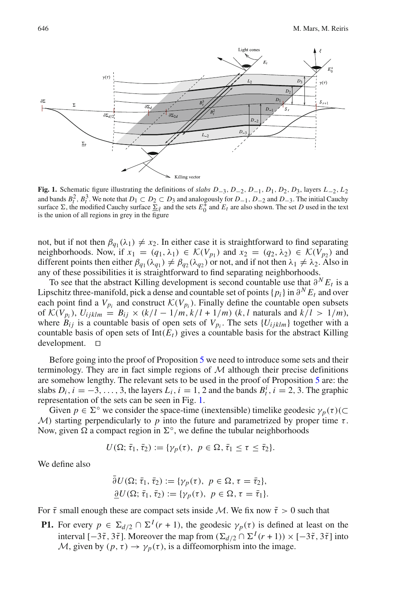

<span id="page-13-0"></span>**Fig. 1.** Schematic figure illustrating the definitions of *slabs D*−3, *D*−2, *D*−1, *D*1, *D*2, *D*3, layers *L*−2, *L*2 and bands  $B_t^2$ ,  $B_t^3$ . We note that  $D_1 \subset D_2 \subset D_3$  and analogously for  $D_{-1}$ ,  $D_{-2}$  and  $D_{-3}$ . The initial Cauchy surface  $\Sigma$ , the modified Cauchy surface  $\Sigma_{\tilde{\tau}}$  and the sets  $E_0^{\tilde{\tau}}$  and  $E_t$  are also shown. The set *D* used in the text is the union of all regions in grey in the figure

not, but if not then  $\beta_{q_1}(\lambda_1) \neq x_2$ . In either case it is straightforward to find separating neighborhoods. Now, if  $x_1 = (q_1, \lambda_1) \in \mathcal{K}(V_{p_1})$  and  $x_2 = (q_2, \lambda_2) \in \mathcal{K}(V_{p_2})$  and different points then either  $\beta_{q_1}(\lambda_{q_1}) \neq \beta_{q_2}(\lambda_{q_2})$  or not, and if not then  $\lambda_1 \neq \lambda_2$ . Also in any of these possibilities it is straightforward to find separating neighborhoods.

To see that the abstract Killing development is second countable use that  $\partial^N E_t$  is a Lipschitz three-manifold, pick a dense and countable set of points  $\{p_i\}$  in  $\partial^N E_t$  and over each point find a  $V_{p_i}$  and construct  $\mathcal{K}(V_{p_i})$ . Finally define the countable open subsets of  $\mathcal{K}(V_{p_i})$ ,  $U_{ijklm} = B_{ij} \times (k/l - 1/m, k/l + 1/m)$  (*k*, *l* naturals and  $k/l > 1/m$ ), where  $B_{ij}$  is a countable basis of open sets of  $V_{p_i}$ . The sets  $\{U_{ijklm}\}$  together with a countable basis of open sets of  $Int(E_t)$  gives a countable basis for the abstract Killing development. □

Before going into the proof of Proposition [5](#page-9-2) we need to introduce some sets and their terminology. They are in fact simple regions of  $M$  although their precise definitions are somehow lengthy. The relevant sets to be used in the proof of Proposition [5](#page-9-2) are: the slabs  $D_i$ ,  $i = -3, ..., 3$ , the layers  $L_i$ ,  $i = 1, 2$  and the bands  $B_i^i$ ,  $i = 2, 3$ . The graphic representation of the sets can be seen in Fig. [1.](#page-13-0)

Given  $p \in \Sigma^{\circ}$  we consider the space-time (inextensible) timelike geodesic  $\gamma_p(\tau)$ (⊂ *M*) starting perpendicularly to *p* into the future and parametrized by proper time  $\tau$ . Now, given  $\Omega$  a compact region in  $\Sigma^{\circ}$ , we define the tubular neighborhoods

$$
U(\Omega; \overline{\tau}_1, \overline{\tau}_2) := {\gamma_p(\tau), \ p \in \Omega, \overline{\tau}_1 \leq \tau \leq \overline{\tau}_2}.
$$

We define also

$$
\overline{\partial}U(\Omega; \overline{\tau}_1, \overline{\tau}_2) := {\gamma_p(\tau), p \in \Omega, \tau = \overline{\tau}_2},
$$
  

$$
\underline{\partial}U(\Omega; \overline{\tau}_1, \overline{\tau}_2) := {\gamma_p(\tau), p \in \Omega, \tau = \overline{\tau}_1}.
$$

For  $\bar{\tau}$  small enough these are compact sets inside *M*. We fix now  $\tilde{\tau} > 0$  such that

**P1.** For every  $p \in \Sigma_{d/2} \cap \Sigma^{I}(r + 1)$ , the geodesic  $\gamma_p(\tau)$  is defined at least on the interval  $[-3\tilde{\tau}, 3\tilde{\tau}]$ . Moreover the map from  $(\Sigma_{d/2} \cap \Sigma^{I}(r + 1)) \times [-3\tilde{\tau}, 3\tilde{\tau}]$  into *M*, given by  $(p, \tau) \rightarrow \gamma_p(\tau)$ , is a diffeomorphism into the image.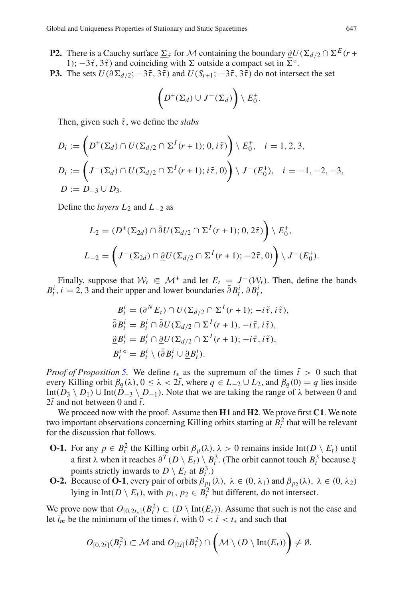- **P2.** There is a Cauchy surface  $\Sigma_{\tilde{\tau}}$  for *M* containing the boundary  $\partial U(\Sigma_{d/2} \cap \Sigma^{E}(r +$ 1);  $-3\tilde{\tau}$ ,  $3\tilde{\tau}$  and coinciding with  $\Sigma$  outside a compact set in  $\Sigma^{\circ}$ .
- **P3.** The sets  $U(\partial \Sigma_d / 2; -3\tilde{\tau}, 3\tilde{\tau})$  and  $U(S_{r+1}; -3\tilde{\tau}, 3\tilde{\tau})$  do not intersect the set

$$
\bigg(D^+(\Sigma_d)\cup J^-(\Sigma_d)\bigg)\setminus E_0^+.
$$

Then, given such  $\tilde{\tau}$ , we define the *slabs* 

$$
D_i := \left( D^+(\Sigma_d) \cap U(\Sigma_{d/2} \cap \Sigma^I(r+1); 0, i\tilde{\tau}) \right) \setminus E_0^+, \quad i = 1, 2, 3,
$$
  
\n
$$
D_i := \left( J^-(\Sigma_d) \cap U(\Sigma_{d/2} \cap \Sigma^I(r+1); i\tilde{\tau}, 0) \right) \setminus J^-(E_0^+), \quad i = -1, -2, -3,
$$
  
\n
$$
D := D_{-3} \cup D_3.
$$

Define the *layers L*<sup>2</sup> and *L*−<sup>2</sup> as

$$
L_2 = (D^+(\Sigma_{2d}) \cap \overline{\partial} U(\Sigma_{d/2} \cap \Sigma^I(r+1); 0, 2\tilde{\tau})) \setminus E_0^+,
$$
  

$$
L_{-2} = \left(J^-(\Sigma_{2d}) \cap \underline{\partial} U(\Sigma_{d/2} \cap \Sigma^I(r+1); -2\tilde{\tau}, 0)\right) \setminus J^-(E_0^+).
$$

Finally, suppose that  $W_t \\\in \mathcal{M}^+$  and let  $E_t = J^-(W_t)$ . Then, define the bands  $B_t^i$ , *i* = 2, 3 and their upper and lower boundaries  $\bar{\partial} B_t^i$ ,  $\underline{\partial} B_t^i$ ,

$$
B_i^i = (\partial^N E_i) \cap U(\Sigma_{d/2} \cap \Sigma^I(r+1); -i\tilde{\tau}, i\tilde{\tau}),
$$
  
\n
$$
\bar{\partial} B_i^i = B_i^i \cap \bar{\partial} U(\Sigma_{d/2} \cap \Sigma^I(r+1), -i\tilde{\tau}, i\tilde{\tau}),
$$
  
\n
$$
\underline{\partial} B_i^i = B_i^i \cap \underline{\partial} U(\Sigma_{d/2} \cap \Sigma^I(r+1); -i\tilde{\tau}, i\tilde{\tau}),
$$
  
\n
$$
B_i^{i} \circ = B_i^i \setminus (\bar{\partial} B_i^i \cup \underline{\partial} B_i^i).
$$

*Proof of Proposition* [5.](#page-9-2) We define  $t_*$  as the supremum of the times  $\bar{t} > 0$  such that every Killing orbit  $\beta_q(\lambda)$ ,  $0 \leq \lambda < 2\bar{t}$ , where  $q \in L_{-2} \cup L_2$ , and  $\beta_q(0) = q$  lies inside Int(*D*<sub>3</sub> \ *D*<sub>1</sub>) ∪ Int(*D*<sub>-3</sub> \ *D*<sub>-1</sub>). Note that we are taking the range of λ between 0 and  $2\bar{t}$  and not between 0 and  $\bar{t}$ .

We proceed now with the proof. Assume then **H1** and **H2**. We prove first **C1**. We note two important observations concerning Killing orbits starting at  $\overline{B}_t^2$  that will be relevant for the discussion that follows.

- **O-1.** For any  $p \in B_t^2$  the Killing orbit  $\beta_p(\lambda), \lambda > 0$  remains inside Int( $D \setminus E_t$ ) until a first  $\lambda$  when it reaches  $\partial^T (D \setminus E_t) \setminus B_t^3$ . (The orbit cannot touch  $B_t^3$  because  $\xi$ points strictly inwards to  $D \setminus E_t$  at  $B_t^3$ .)
- **O-2.** Because of **O-1**, every pair of orbits  $\beta_{p_1}(\lambda)$ ,  $\lambda \in (0, \lambda_1)$  and  $\beta_{p_2}(\lambda)$ ,  $\lambda \in (0, \lambda_2)$ lying in Int( $D \setminus E_t$ ), with  $p_1, p_2 \in B_t^2$  but different, do not intersect.

We prove now that  $O_{[0,2t_*]}(B_t^2) \subset (D \setminus \text{Int}(E_t))$ . Assume that such is not the case and let  $\bar{t}_m$  be the minimum of the times  $\bar{t}$ , with  $0 < \bar{t} < t_*$  and such that

$$
O_{[0,2\tilde{t}]}(B_t^2) \subset \mathcal{M} \text{ and } O_{[2\tilde{t}]}(B_t^2) \cap \bigg(\mathcal{M} \setminus (D \setminus \text{Int}(E_t))\bigg) \neq \emptyset.
$$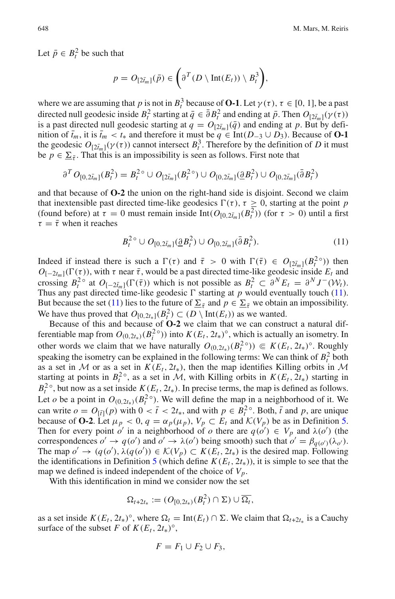Let  $\bar{p} \in B_t^2$  be such that

$$
p = O_{[2\tilde{t}_m]}(\bar{p}) \in \left(\partial^T(D \setminus \text{Int}(E_t)) \setminus B_t^3\right),\
$$

where we are assuming that *p* is not in  $B_t^3$  because of **O-1**. Let  $\gamma(\tau)$ ,  $\tau \in [0, 1]$ , be a past directed null geodesic inside  $B_t^2$  starting at  $\bar{q} \in \bar{\partial} B_t^2$  and ending at  $\bar{p}$ . Then  $O_{[2\bar{t}_m]}(\gamma(\tau))$ is a past directed null geodesic starting at  $q = O_{[2\bar{t}_m]}(\bar{q})$  and ending at *p*. But by definition of  $\bar{t}_m$ , it is  $\bar{t}_m < t_*$  and therefore it must be  $q \in \text{Int}(D_{-3} \cup D_3)$ . Because of **O-1** the geodesic  $O_{[2\bar{t}_m]}(\gamma(\tau))$  cannot intersect  $B_t^3$ . Therefore by the definition of *D* it must be  $p \in \Sigma_{\tilde{\tau}}$ . That this is an impossibility is seen as follows. First note that

$$
\partial^T O_{[0,2\bar{t}_m]}(B_t^2) = B_t^{2\circ} \cup O_{[2\bar{t}_m]}(B_t^{2\circ}) \cup O_{[0,2\bar{t}_m]}(\partial B_t^2) \cup O_{[0,2\bar{t}_m]}(\partial B_t^2)
$$

and that because of **O-2** the union on the right-hand side is disjoint. Second we claim that inextensible past directed time-like geodesics  $\Gamma(\tau)$ ,  $\tau \geq 0$ , starting at the point *p* (found before) at  $\tau = 0$  must remain inside Int( $O_{[0,2\bar{t}_m]}(B_t^2)$ ) (for  $\tau > 0$ ) until a first  $\tau = \bar{\tau}$  when it reaches

$$
B_t^{2\circ} \cup O_{[0,2\bar{t}_m]}(\underline{\partial} B_t^2) \cup O_{[0,2\bar{t}_m]}(\bar{\partial} B_t^2). \tag{11}
$$

<span id="page-15-0"></span>Indeed if instead there is such a  $\Gamma(\tau)$  and  $\bar{\tau} > 0$  with  $\Gamma(\bar{\tau}) \in O_{[2\bar{t}_m]}(B_t^2 \circ)$  then  $O_{[-2t_m]}(\Gamma(\tau))$ , with  $\tau$  near  $\bar{\tau}$ , would be a past directed time-like geodesic inside  $E_t$  and crossing  $B_t^2 \circ \text{at } O_{[-2\bar{t}_m]}(\Gamma(\bar{\tau}))$  which is not possible as  $B_t^2 \subset \partial^N E_t = \partial^N J^-(W_t)$ . Thus any past directed time-like geodesic  $\Gamma$  starting at  $p$  would eventually touch [\(11\)](#page-15-0). But because the set [\(11\)](#page-15-0) lies to the future of  $\Sigma_{\bar{\tau}}$  and  $p \in \Sigma_{\bar{\tau}}$  we obtain an impossibility. We have thus proved that  $O_{[0,2t_*]}(B_t^2) \subset (D \setminus \text{Int}(E_t))$  as we wanted.

Because of this and because of **O-2** we claim that we can construct a natural differentiable map from  $O_{(0,2t_*)}(B_i^2 \circ)$  into  $K(E_t, 2t_*) \circ$ , which is actually an isometry. In other words we claim that we have naturally  $O_{(0,2t_*)}(B_t^{2\circ})) \subseteq K(E_t, 2t_*)^{\circ}$ . Roughly speaking the isometry can be explained in the following terms: We can think of  $B_t^2$  both as a set in *M* or as a set in  $K(E_t, 2t_*)$ , then the map identifies Killing orbits in *M* starting at points in  $B_t^{2\circ}$ , as a set in *M*, with Killing orbits in  $K(E_t, 2t_*)$  starting in  $B_t^{2\circ}$ , but now as a set inside  $K(E_t, 2t_*)$ . In precise terms, the map is defined as follows. Let *o* be a point in  $O_{(0,2t_*)}(B_t^2 \circ)$ . We will define the map in a neighborhood of it. We can write  $o = O_{[\bar{t}]}(p)$  with  $0 < \bar{t} < 2t_*$ , and with  $p \in B_t^2$ <sup>o</sup>. Both,  $\bar{t}$  and  $p$ , are unique because of **O-2**. Let  $\mu_p < 0$ ,  $q = \alpha_p(\mu_p)$ ,  $V_p \subset E_t$  and  $K(V_p)$  be as in Definition [5.](#page-8-2) Then for every point  $o'$  in a neighborhood of *o* there are  $q(o') \in V_p$  and  $\lambda(o')$  (the correspondences  $o' \rightarrow q(o')$  and  $o' \rightarrow \lambda(o')$  being smooth) such that  $o' = \beta_{q(o')}(\lambda_{o'})$ . The map  $o' \rightarrow (q(o'), \lambda(q(o')) \in K(V_p) \subset K(E_t, 2t_*)$  is the desired map. Following the identifications in Definition [5](#page-8-2) (which define  $K(E_t, 2t_*)$ ), it is simple to see that the map we defined is indeed independent of the choice of *Vp*.

With this identification in mind we consider now the set

$$
\Omega_{t+2t_*}:=(O_{[0,2t_*)}(B_t^2)\cap\Sigma)\cup\overline{\Omega_t},
$$

as a set inside  $K(E_t, 2t_*)^\circ$ , where  $\Omega_t = \text{Int}(E_t) \cap \Sigma$ . We claim that  $\Omega_{t+2t_*}$  is a Cauchy surface of the subset *F* of  $K(E_t, 2t_*)$ °,

$$
F=F_1\cup F_2\cup F_3,
$$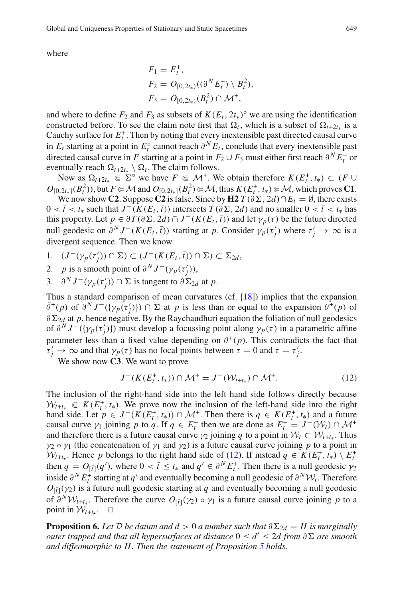where

$$
F_1 = E_t^+,
$$
  
\n
$$
F_2 = O_{[0,2t_*)}((\partial^N E_t^+) \setminus B_t^2),
$$
  
\n
$$
F_3 = O_{[0,2t_*)}(B_t^2) \cap \mathcal{M}^+,
$$

and where to define  $F_2$  and  $F_3$  as subsets of  $K(E_t, 2t_*)^\circ$  we are using the identification constructed before. To see the claim note first that  $\Omega_t$ , which is a subset of  $\Omega_{t+2t_*}$  is a Cauchy surface for  $E_t^+$ . Then by noting that every inextensible past directed causal curve in  $E_t$  starting at a point in  $E_t^{\circ}$  cannot reach  $\partial^N E_t$ , conclude that every inextensible past directed causal curve in *F* starting at a point in  $F_2 \cup F_3$  must either first reach  $\partial^N E_t^+$  or eventually reach  $\Omega_{t+2t_*} \setminus \Omega_t$ . The claim follows.

Now as  $\Omega_{t+2t_*} \subseteq \Sigma^\circ$  we have  $F \subseteq \mathcal{M}^+$ . We obtain therefore  $K(E_t^+, t_*) \subset (F \cup$  $O_{[0,2*t*_{*}]}(B_{t}^{2})$ , but  $F \in \mathcal{M}$  and  $O_{[0,2*t*_{*}]}(B_{t}^{2}) \in \mathcal{M}$ , thus  $K(E_{t}^{+}, t_{*}) \in \mathcal{M}$ , which proves **C1**.

We now show **C2**. Suppose **C2** is false. Since by **H2**  $T(\partial \Sigma, 2d) \cap E_t = \emptyset$ , there exists  $0 < \bar{t} < t_*$  such that *J* −( $K(E_t, \bar{t})$ ) intersects  $T(\partial \Sigma, 2d)$  and no smaller  $0 < \bar{t} < t_*$  has this property. Let  $p \in \partial T(\partial \Sigma, 2d) \cap J^-(K(E_t, \bar{t}))$  and let  $\gamma_p(\tau)$  be the future directed null geodesic on  $\partial^N J^-(K(E_t, \bar{t}))$  starting at *p*. Consider  $\gamma_p(\tau'_j)$  where  $\tau'_j \to \infty$  is a divergent sequence. Then we know

- 1.  $(J^-(\gamma_p(\tau'_j)) \cap \Sigma) \subset (J^-(K(E_t, \overline{t})) \cap \Sigma) \subset \Sigma_{2d}$ ,
- 2. *p* is a smooth point of  $\partial^N J^-(\gamma_p(\tau'_j))$ ,
- 3.  $\partial^N J^-(\gamma_p(\tau'_j)) \cap \Sigma$  is tangent to  $\partial \Sigma_{2d}$  at *p*.

Thus a standard comparison of mean curvatures (cf. [\[18\]](#page-33-9)) implies that the expansion  $\bar{\theta}^+(p)$  of  $\partial^N J^-({\gamma_p(\tau'_j)})\cap\Sigma$  at *p* is less than or equal to the expansion  $\theta^+(p)$  of ∂2*<sup>d</sup>* at *p*, hence negative. By the Raychaudhuri equation the foliation of null geodesics of  $\frac{\partial^N J^-(\{\gamma_p(\tau'_j)\})}{\partial N}$  must develop a focussing point along  $\gamma_p(\tau)$  in a parametric affine parameter less than a fixed value depending on  $\theta^+(p)$ . This contradicts the fact that  $\tau'_j \to \infty$  and that  $\gamma_p(\tau)$  has no focal points between  $\tau = 0$  and  $\tau = \tau'_j$ .

<span id="page-16-1"></span>We show now **C3**. We want to prove

$$
J^{-}(K(E_{t}^{+}, t_{*})) \cap \mathcal{M}^{+} = J^{-}(\mathcal{W}_{t+t_{*}}) \cap \mathcal{M}^{+}.
$$
 (12)

The inclusion of the right-hand side into the left hand side follows directly because  $W_{t+t_{*}} \n\t\in K(E_{t}^{+}, t_{*})$ . We prove now the inclusion of the left-hand side into the right hand side. Let  $p \text{ } \in J^-(K(E_t^+, t_*)) \cap \mathcal{M}^+$ . Then there is  $q \in K(E_t^+, t_*)$  and a future causal curve  $\gamma_1$  joining *p* to *q*. If  $q \in E_t^+$  then we are done as  $E_t^+ = J^-(\mathcal{W}_t) \cap \mathcal{M}^+$ and therefore there is a future causal curve  $\gamma_2$  joining q to a point in  $W_t \subset W_{t+t_*}$ . Thus  $\gamma_2 \circ \gamma_1$  (the concatenation of  $\gamma_1$  and  $\gamma_2$ ) is a future causal curve joining p to a point in *W*<sub>*t*+*t*<sup>*x*</sup>. Hence *p* belongs to the right hand side of [\(12\)](#page-16-1). If instead  $q \in K(E_t^+, t_*) \setminus E_t^+$ </sub> then  $q = O_{[\bar{t}]}(q')$ , where  $0 < \bar{t} \le t_*$  and  $q' \in \partial^N E_t^+$ . Then there is a null geodesic  $\gamma_2$ inside  $\partial^N E_t^+$  starting at *q'* and eventually becoming a null geodesic of  $\partial^N \mathcal{W}_t$ . Therefore  $O_{[\bar{t}]}(\gamma_2)$  is a future null geodesic starting at *q* and eventually becoming a null geodesic of  $\partial^N W_{t+t_*}$ . Therefore the curve  $O_{[\bar{t}]}(\gamma_2) \circ \gamma_1$  is a future causal curve joining *p* to a point in  $W_{t+t}$ .  $\Box$ 

<span id="page-16-0"></span>**Proposition 6.** *Let*  $\mathcal{D}$  *be datum and*  $d > 0$  *a number such that*  $\partial \Sigma_{2d} = H$  *is marginally outer trapped and that all hypersurfaces at distance*  $0 \le d' \le 2d$  *from*  $\partial \Sigma$  *are smooth and diffeomorphic to H. Then the statement of Proposition [5](#page-9-2) holds.*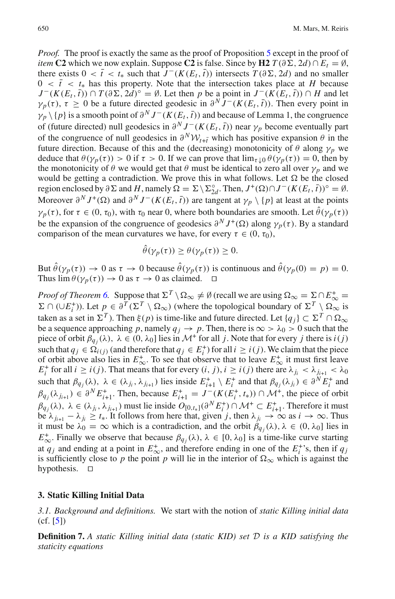*Proof.* The proof is exactly the same as the proof of Proposition [5](#page-9-2) except in the proof of *item* **C2** which we now explain. Suppose **C2** is false. Since by **H2**  $T(\partial \Sigma, 2d) \cap E_t = \emptyset$ , there exists  $0 < \bar{t} < t_*$  such that  $J^-(K(E_t, \bar{t}))$  intersects  $T(\partial \Sigma, 2d)$  and no smaller  $0 < \bar{t} < t_*$  has this property. Note that the intersection takes place at *H* because  $J^-(K(E_t, \bar{t})) \cap T(\partial \Sigma, 2d)^\circ = \emptyset$ . Let then *p* be a point in  $J^-(K(E_t, \bar{t})) \cap H$  and let  $\gamma_p(\tau)$ ,  $\tau \geq 0$  be a future directed geodesic in  $\partial^N J^-(K(E_t, \bar{t}))$ . Then every point in  $\gamma_p \setminus \{p\}$  is a smooth point of  $\partial^N J^-(K(E_t, \bar{t}))$  and because of Lemma 1, the congruence of (future directed) null geodesics in  $\partial^N J^- (K(E_t, \bar{t}))$  near  $\gamma_p$  become eventually part of the congruence of null geodesics in  $\partial^N W_{t+\bar{t}}$  which has positive expansion  $\theta$  in the future direction. Because of this and the (decreasing) monotonicity of  $\theta$  along  $\gamma_p$  we deduce that  $\theta(\gamma_p(\tau)) > 0$  if  $\tau > 0$ . If we can prove that  $\lim_{\tau \downarrow 0} \theta(\gamma_p(\tau)) = 0$ , then by the monotonicity of  $\theta$  we would get that  $\theta$  must be identical to zero all over  $\gamma_p$  and we would be getting a contradiction. We prove this in what follows. Let  $\Omega$  be the closed region enclosed by  $\partial \Sigma$  and *H*, namely  $\Omega = \Sigma \setminus \Sigma_{2d}^{\circ}$ . Then,  $J^+(\Omega) \cap J^-(K(E_t, \bar{t}))^{\circ} = \emptyset$ . Moreover  $\partial^N J^+(\Omega)$  and  $\partial^N J^-(K(E_t, \bar{t}))$  are tangent at  $\gamma_p \setminus \{p\}$  at least at the points  $\gamma_p(\tau)$ , for  $\tau \in (0, \tau_0)$ , with  $\tau_0$  near 0, where both boundaries are smooth. Let  $\hat{\theta}(\gamma_p(\tau))$ be the expansion of the congruence of geodesics  $\partial^N J^+(\Omega)$  along  $\gamma_p(\tau)$ . By a standard comparison of the mean curvatures we have, for every  $\tau \in (0, \tau_0)$ ,

$$
\hat{\theta}(\gamma_p(\tau)) \geq \theta(\gamma_p(\tau)) \geq 0.
$$

But  $\hat{\theta}(\gamma_p(\tau)) \to 0$  as  $\tau \to 0$  because  $\hat{\theta}(\gamma_p(\tau))$  is continuous and  $\hat{\theta}(\gamma_p(0) = p) = 0$ . Thus  $\lim_{\eta \to 0} \theta(\gamma_p(\tau)) \to 0$  as  $\tau \to 0$  as claimed.  $\square$ 

*Proof of Theorem [6.](#page-7-0)* Suppose that  $\Sigma^T \setminus \Omega_\infty \neq \emptyset$  (recall we are using  $\Omega_\infty = \Sigma \cap E_\infty^+$  $\Sigma \cap (\cup E_i^+)$ ). Let  $p \in \partial^T (\Sigma^T \setminus \Omega_\infty)$  (where the topological boundary of  $\Sigma^T \setminus \Omega_\infty$  is taken as a set in  $\Sigma^T$ ). Then  $\xi(p)$  is time-like and future directed. Let  $\{q_j\} \subset \Sigma^T \cap \Omega_\infty$ be a sequence approaching *p*, namely  $q_i \rightarrow p$ . Then, there is  $\infty > \lambda_0 > 0$  such that the piece of orbit  $\beta_{q_i}(\lambda)$ ,  $\lambda \in (0, \lambda_0]$  lies in  $\mathcal{M}^+$  for all *j*. Note that for every *j* there is *i*(*j*) such that  $q_j \in \Omega_{i(j)}$  (and therefore that  $q_j \in E_i^+$ ) for all  $i \ge i(j)$ . We claim that the piece of orbit above also lies in  $E^+_{\infty}$ . To see that observe that to leave  $E^+_{\infty}$  it must first leave  $E_i^+$  for all  $i \ge i(j)$ . That means that for every  $(i, j)$ ,  $i \ge i(j)$  there are  $\lambda_{j_i} < \lambda_{j_{i+1}} < \lambda_0$ such that  $\beta_{q_j}(\lambda)$ ,  $\lambda \in (\lambda_{j_i}, \lambda_{j_{i+1}})$  lies inside  $E_{i+1}^+ \setminus E_i^+$  and that  $\beta_{q_j}(\lambda_{j_i}) \in \partial^N E_i^+$  and  $\beta_{q_j}(\lambda_{j_{i+1}}) \in \partial^N E_{i+1}^+$ . Then, because  $E_{i+1}^+ = J^-(K(E_i^+, t_*)) \cap \mathcal{M}^+$ , the piece of orbit  $\beta_{q_j}(\lambda)$ ,  $\lambda \in (\lambda_{j_i}, \lambda_{j_{i+1}})$  must lie inside  $O_{[0,t_*]}(\partial^N E_i^+) \cap \mathcal{M}^+ \subset E_{i+1}^+$ . Therefore it must be  $\lambda_{j_i+1} - \lambda_{j_i} \ge t_*$ . It follows from here that, given *j*, then  $\lambda_{j_i} \to \infty$  as  $i \to \infty$ . Thus it must be  $\lambda_0 = \infty$  which is a contradiction, and the orbit  $\beta_{q_i}(\lambda), \lambda \in (0, \lambda_0]$  lies in *E*<sup> $+$ </sup><sub>∞</sub>. Finally we observe that because  $\beta_{q_j}(\lambda)$ ,  $\lambda \in [0, \lambda_0]$  is a time-like curve starting at  $q_j$  and ending at a point in  $E^+_{\infty}$ , and therefore ending in one of the  $E_i^+$ 's, then if  $q_j$ is sufficiently close to p the point p will lie in the interior of  $\Omega_{\infty}$  which is against the hypothesis.  $\square$ 

#### <span id="page-17-1"></span><span id="page-17-0"></span>**3. Static Killing Initial Data**

<span id="page-17-2"></span>*3.1. Background and definitions.* We start with the notion of *static Killing initial data*  $(cf. [5])$  $(cf. [5])$  $(cf. [5])$ 

**Definition 7.** *A static Killing initial data (static KID) set D is a KID satisfying the staticity equations*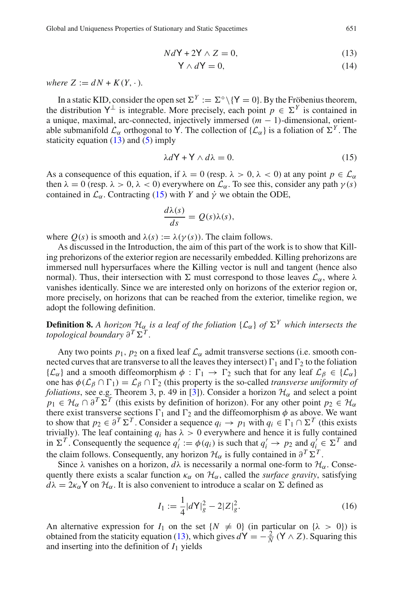<span id="page-18-1"></span>Global and Uniqueness Properties of Stationary and Static Spacetimes 651

$$
NdY + 2Y \wedge Z = 0,\tag{13}
$$

$$
Y \wedge dY = 0,\tag{14}
$$

*where*  $Z := dN + K(Y, \cdot)$ *.* 

In a static KID, consider the open set  $\Sigma^Y := \Sigma^{\circ} \backslash {\{Y = 0\}}$ . By the Fröbenius theorem, the distribution  $Y^{\perp}$  is integrable. More precisely, each point  $p \in \Sigma^{Y}$  is contained in a unique, maximal, arc-connected, injectively immersed (*m* − 1)-dimensional, orientable submanifold  $\mathcal{L}_{\alpha}$  orthogonal to Y. The collection of { $\mathcal{L}_{\alpha}$ } is a foliation of  $\Sigma^{Y}$ . The staticity equation  $(13)$  and  $(5)$  imply

$$
\lambda d\mathsf{Y} + \mathsf{Y} \wedge d\lambda = 0. \tag{15}
$$

<span id="page-18-2"></span>As a consequence of this equation, if  $\lambda = 0$  (resp.  $\lambda > 0$ ,  $\lambda < 0$ ) at any point  $p \in \mathcal{L}_{\alpha}$ then  $\lambda = 0$  (resp.  $\lambda > 0$ ,  $\lambda < 0$ ) everywhere on  $\mathcal{L}_{\alpha}$ . To see this, consider any path  $\gamma(s)$ contained in  $\mathcal{L}_{\alpha}$ . Contracting [\(15\)](#page-18-2) with *Y* and  $\dot{\gamma}$  we obtain the ODE,

$$
\frac{d\lambda(s)}{ds} = Q(s)\lambda(s),
$$

where  $O(s)$  is smooth and  $\lambda(s) := \lambda(\gamma(s))$ . The claim follows.

As discussed in the Introduction, the aim of this part of the work is to show that Killing prehorizons of the exterior region are necessarily embedded. Killing prehorizons are immersed null hypersurfaces where the Killing vector is null and tangent (hence also normal). Thus, their intersection with Σ must correspond to those leaves  $\mathcal{L}_{\alpha}$ , where λ vanishes identically. Since we are interested only on horizons of the exterior region or, more precisely, on horizons that can be reached from the exterior, timelike region, we adopt the following definition.

<span id="page-18-0"></span>**Definition 8.** *A horizon*  $\mathcal{H}_{\alpha}$  *is a leaf of the foliation* { $\mathcal{L}_{\alpha}$ } *of*  $\Sigma^{Y}$  *which intersects the topological boundary*  $\partial^T \Sigma^T$ .

Any two points  $p_1$ ,  $p_2$  on a fixed leaf  $\mathcal{L}_{\alpha}$  admit transverse sections (i.e. smooth connected curves that are transverse to all the leaves they intersect)  $\Gamma_1$  and  $\Gamma_2$  to the foliation  ${\{\mathcal{L}_{\alpha}\}}$  and a smooth diffeomorphism  $\phi : \Gamma_1 \to \Gamma_2$  such that for any leaf  $\mathcal{L}_{\beta} \in {\{\mathcal{L}_{\alpha}\}}$ one has  $\phi(\mathcal{L}_\beta \cap \Gamma_1) = \mathcal{L}_\beta \cap \Gamma_2$  (this property is the so-called *transverse uniformity of foliations*, see e.g. Theorem 3, p. 49 in [\[3\]](#page-32-8)). Consider a horizon  $\mathcal{H}_{\alpha}$  and select a point  $p_1 \in H_\alpha \cap \partial^T \Sigma^T$  (this exists by definition of horizon). For any other point  $p_2 \in H_\alpha$ there exist transverse sections  $\Gamma_1$  and  $\Gamma_2$  and the diffeomorphism  $\phi$  as above. We want to show that  $p_2 \in \partial^T \Sigma^T$ . Consider a sequence  $q_i \to p_1$  with  $q_i \in \Gamma_1 \cap \Sigma^T$  (this exists trivially). The leaf containing  $q_i$  has  $\lambda > 0$  everywhere and hence it is fully contained in  $\Sigma^T$ . Consequently the sequence  $q'_i := \phi(q_i)$  is such that  $q'_i \to p_2$  and  $q'_i \in \Sigma^T$  and the claim follows. Consequently, any horizon  $\mathcal{H}_{\alpha}$  is fully contained in  $\partial^{T} \Sigma^{T}$ .

Since  $\lambda$  vanishes on a horizon,  $d\lambda$  is necessarily a normal one-form to  $\mathcal{H}_{\alpha}$ . Consequently there exists a scalar function  $\kappa_{\alpha}$  on  $\mathcal{H}_{\alpha}$ , called the *surface gravity*, satisfying  $d\lambda = 2\kappa_{\alpha} Y$  on  $\mathcal{H}_{\alpha}$ . It is also convenient to introduce a scalar on  $\Sigma$  defined as

$$
I_1 := \frac{1}{4} |d\mathsf{Y}|_g^2 - 2|Z|_g^2. \tag{16}
$$

<span id="page-18-3"></span>An alternative expression for  $I_1$  on the set  $\{N \neq 0\}$  (in particular on  $\{\lambda > 0\}$ ) is obtained from the staticity equation [\(13\)](#page-18-1), which gives  $dY = -\frac{2}{N}(Y \wedge Z)$ . Squaring this and inserting into the definition of  $I_1$  yields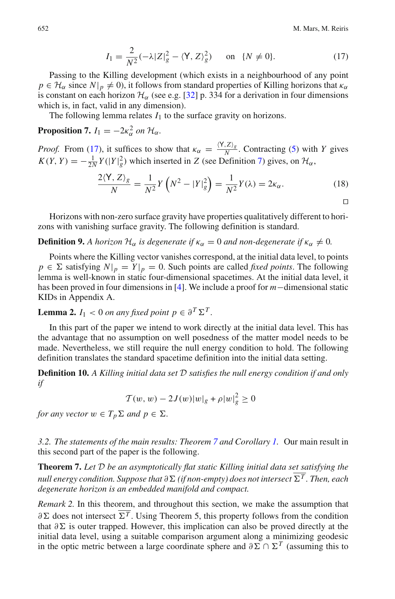$$
I_1 = \frac{2}{N^2} (-\lambda |Z|_g^2 - \langle Y, Z \rangle_g^2) \quad \text{on } \{N \neq 0\}.
$$
 (17)

<span id="page-19-2"></span>Passing to the Killing development (which exists in a neighbourhood of any point  $p \in \mathcal{H}_\alpha$  since  $N|_p \neq 0$ ), it follows from standard properties of Killing horizons that  $\kappa_\alpha$ is constant on each horizon  $\mathcal{H}_{\alpha}$  (see e.g. [\[32](#page-33-4)] p. 334 for a derivation in four dimensions which is, in fact, valid in any dimension).

The following lemma relates  $I_1$  to the surface gravity on horizons.

# <span id="page-19-5"></span>**Proposition 7.**  $I_1 = -2\kappa_\alpha^2$  on  $\mathcal{H}_\alpha$ .

*Proof.* From [\(17\)](#page-19-2), it suffices to show that  $\kappa_{\alpha} = \frac{\langle Y, Z \rangle_{g}}{N}$ . Contracting [\(5\)](#page-4-2) with *Y* gives  $K(Y, Y) = -\frac{1}{2N}Y(|Y|_{g}^{2})$  which inserted in *Z* (see Definition [7\)](#page-17-2) gives, on  $\mathcal{H}_{\alpha}$ ,

$$
\frac{2\langle Y, Z\rangle_g}{N} = \frac{1}{N^2} Y \left( N^2 - |Y|_g^2 \right) = \frac{1}{N^2} Y(\lambda) = 2\kappa_\alpha.
$$
 (18)

Horizons with non-zero surface gravity have properties qualitatively different to horizons with vanishing surface gravity. The following definition is standard.

**Definition 9.** *A horizon*  $\mathcal{H}_{\alpha}$  *is degenerate if*  $\kappa_{\alpha} = 0$  *and non-degenerate if*  $\kappa_{\alpha} \neq 0$ *.* 

Points where the Killing vector vanishes correspond, at the initial data level, to points  $p \in \Sigma$  satisfying  $N|_p = Y|_p = 0$ . Such points are called *fixed points*. The following lemma is well-known in static four-dimensional spacetimes. At the initial data level, it has been proved in four dimensions in [\[4](#page-32-9)]. We include a proof for *m*−dimensional static KIDs in Appendix A.

<span id="page-19-4"></span>**Lemma 2.** *I*<sub>1</sub> < 0 *on any fixed point*  $p \in \partial^T \Sigma^T$ .

In this part of the paper we intend to work directly at the initial data level. This has the advantage that no assumption on well posedness of the matter model needs to be made. Nevertheless, we still require the null energy condition to hold. The following definition translates the standard spacetime definition into the initial data setting.

<span id="page-19-3"></span>**Definition 10.** *A Killing initial data set D satisfies the null energy condition if and only if*

$$
T(w, w) - 2J(w)|w|_{g} + \rho |w|_{g}^{2} \ge 0
$$

*for any vector*  $w \in T_p \Sigma$  *and*  $p \in \Sigma$ *.* 

<span id="page-19-1"></span><span id="page-19-0"></span>*3.2. The statements of the main results: Theorem [7](#page-19-0) and Corollary [1.](#page-20-0)* Our main result in this second part of the paper is the following.

**Theorem 7.** *Let D be an asymptotically flat static Killing initial data set satisfying the null energy condition. Suppose that*  $\partial \Sigma$  (*if non-empty*) does not intersect  $\overline{\Sigma^T}$ . Then, each *degenerate horizon is an embedded manifold and compact.*

*Remark 2.* In this theorem, and throughout this section, we make the assumption that  $\partial \Sigma$  does not intersect  $\overline{\Sigma^{T}}$ . Using Theorem 5, this property follows from the condition that  $\partial \Sigma$  is outer trapped. However, this implication can also be proved directly at the initial data level, using a suitable comparison argument along a minimizing geodesic in the optic metric between a large coordinate sphere and  $\partial \Sigma \cap \Sigma^{T}$  (assuming this to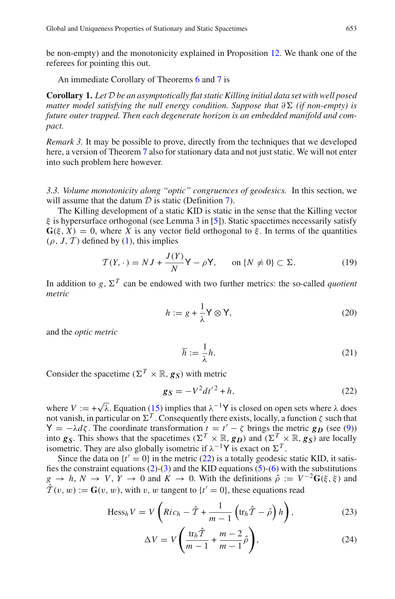be non-empty) and the monotonicity explained in Proposition [12.](#page-22-0) We thank one of the referees for pointing this out.

An immediate Corollary of Theorems [6](#page-7-0) and [7](#page-19-0) is

<span id="page-20-0"></span>**Corollary 1.** *Let D be an asymptotically flat static Killing initial data set with well posed matter model satisfying the null energy condition. Suppose that*  $\partial \Sigma$  *(if non-empty) is future outer trapped. Then each degenerate horizon is an embedded manifold and compact.*

*Remark 3.* It may be possible to prove, directly from the techniques that we developed here, a version of Theorem [7](#page-19-0) also for stationary data and not just static. We will not enter into such problem here however.

<span id="page-20-1"></span>*3.3. Volume monotonicity along "optic" congruences of geodesics.* In this section, we will assume that the datum  $D$  is static (Definition [7\)](#page-17-2).

The Killing development of a static KID is static in the sense that the Killing vector  $\xi$  is hypersurface orthogonal (see Lemma 3 in [\[5\]](#page-32-4)). Static spacetimes necessarily satisfy  $G(\xi, X) = 0$ , where *X* is any vector field orthogonal to  $\xi$ . In terms of the quantities  $(\rho, J, T)$  defined by [\(1\)](#page-4-4), this implies

<span id="page-20-6"></span>
$$
\mathcal{T}(Y, \cdot) = NJ + \frac{J(Y)}{N}Y - \rho Y, \quad \text{on } \{N \neq 0\} \subset \Sigma.
$$
 (19)

<span id="page-20-3"></span>In addition to *g*,  $\Sigma^T$  can be endowed with two further metrics: the so-called *quotient metric*

$$
h := g + \frac{1}{\lambda} \mathsf{Y} \otimes \mathsf{Y},\tag{20}
$$

and the *optic metric*

$$
\overline{h} := \frac{1}{\lambda} h. \tag{21}
$$

Consider the spacetime ( $\Sigma^T \times \mathbb{R}$ , *g<sub>S</sub>*) with metric

<span id="page-20-5"></span>
$$
g_S = -V^2 dt'^2 + h,\t\t(22)
$$

<span id="page-20-2"></span>where  $V := +\sqrt{\lambda}$ . Equation [\(15\)](#page-18-2) implies that  $\lambda^{-1}Y$  is closed on open sets where  $\lambda$  does not vanish, in particular on  $\Sigma^T$ . Consequently there exists, locally, a function ζ such that  $Y = -\lambda d\zeta$ . The coordinate transformation  $\frac{t}{x} = t' - \zeta$  brings the metric  $g_D$  (see [\(9\)](#page-5-0)) into  $g_S$ . This shows that the spacetimes  $(\Sigma^T \times \mathbb{R}, g_D)$  and  $(\Sigma^T \times \mathbb{R}, g_S)$  are locally isometric. They are also globally isometric if  $\lambda^{-1}Y$  is exact on  $\Sigma^{T}$ .

<span id="page-20-4"></span>Since the data on  $\{t' = 0\}$  in the metric [\(22\)](#page-20-2) is a totally geodesic static KID, it satisfies the constraint equations  $(2)-(3)$  $(2)-(3)$  $(2)-(3)$  and the KID equations  $(5)-(6)$  $(5)-(6)$  $(5)-(6)$  with the substitutions  $g \to h$ ,  $N \to V$ ,  $\bar{Y} \to 0$  and  $K \to 0$ . With the definitions  $\hat{\rho} := V^{-2}G(\xi, \xi)$  and  $\hat{T}(v, w) := \mathbf{G}(v, w)$ , with v, w tangent to  $\{t' = 0\}$ , these equations read

$$
\text{Hess}_h V = V \left( Ric_h - \hat{T} + \frac{1}{m-1} \left( \text{tr}_h \hat{T} - \hat{\rho} \right) h \right), \tag{23}
$$

$$
\Delta V = V \left( \frac{\text{tr}_h \hat{T}}{m - 1} + \frac{m - 2}{m - 1} \hat{\rho} \right),\tag{24}
$$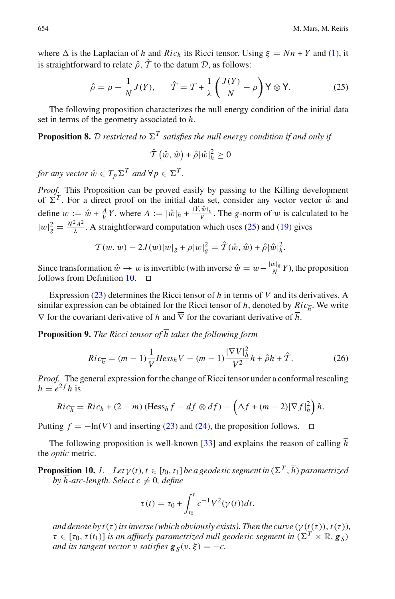where  $\Delta$  is the Laplacian of *h* and *Ric<sub>h</sub>* its Ricci tensor. Using  $\xi = Nn + Y$  and [\(1\)](#page-4-4), it is straightforward to relate  $\hat{\rho}$ ,  $\hat{T}$  to the datum *D*, as follows:

$$
\hat{\rho} = \rho - \frac{1}{N} J(Y), \qquad \hat{T} = T + \frac{1}{\lambda} \left( \frac{J(Y)}{N} - \rho \right) \mathsf{Y} \otimes \mathsf{Y}.
$$
 (25)

<span id="page-21-0"></span>The following proposition characterizes the null energy condition of the initial data set in terms of the geometry associated to *h*.

<span id="page-21-2"></span>**Proposition 8.** *D restricted to*  $\Sigma^T$  *satisfies the null energy condition if and only if* 

$$
\hat{\mathcal{T}}\left(\hat{w},\hat{w}\right) + \hat{\rho}|\hat{w}|_h^2 \ge 0
$$

*for any vector*  $\hat{w} \in T_p \Sigma^T$  *and*  $\forall p \in \Sigma^T$ .

*Proof.* This Proposition can be proved easily by passing to the Killing development of  $\Sigma^T$ . For a direct proof on the initial data set, consider any vector vector  $\hat{w}$  and define  $w := \hat{w} + \frac{A}{V}Y$ , where  $A := |\hat{w}|_h + \frac{\langle Y, \hat{w} \rangle_g}{V}$ . The *g*-norm of w is calculated to be  $|w|_g^2 = \frac{N^2 A^2}{\lambda}$ . A straightforward computation which uses [\(25\)](#page-21-0) and [\(19\)](#page-20-3) gives

$$
\mathcal{T}(w, w) - 2J(w)|w|_{g} + \rho |w|_{g}^{2} = \hat{\mathcal{T}}(\hat{w}, \hat{w}) + \hat{\rho} |\hat{w}|_{h}^{2}.
$$

Since transformation  $\hat{w} \to w$  is invertible (with inverse  $\hat{w} = w - \frac{|w|_g}{N}Y$ ), the proposition follows from Definition  $10.$   $\Box$ 

Expression [\(23\)](#page-20-4) determines the Ricci tensor of *h* in terms of *V* and its derivatives. A similar expression can be obtained for the Ricci tensor of  $\overline{h}$ , denoted by  $Ric_{\overline{h}}$ . We write  $\nabla$  for the covariant derivative of *h* and  $\nabla$  for the covariant derivative of  $\overline{h}$ .

**Proposition 9.** *The Ricci tensor of h takes the following form*

$$
Ric_{\overline{h}} = (m-1)\frac{1}{V}Hess_hV - (m-1)\frac{|\nabla V|_h^2}{V^2}h + \hat{\rho}h + \hat{T}.
$$
 (26)

<span id="page-21-1"></span>*Proof.* The general expression for the change of Ricci tensor under a conformal rescaling  $\overline{h} = e^{2f}h$  is

$$
Ric_{\overline{h}} = Ric_h + (2 - m) \left( \text{Hess}_h f - df \otimes df \right) - \left( \Delta f + (m - 2) |\nabla f|_h^2 \right) h.
$$

Putting  $f = -\ln(V)$  and inserting [\(23\)](#page-20-4) and [\(24\)](#page-20-4), the proposition follows.  $\Box$ 

The following proposition is well-known [\[33\]](#page-33-10) and explains the reason of calling  $\overline{h}$ the *optic* metric.

**Proposition 10.** *1.* Let  $\gamma(t)$ ,  $t \in [t_0, t_1]$  be a geodesic segment in  $(\Sigma^T, \overline{h})$  parametrized *by h*-arc-length. Select  $c \neq 0$ , define

$$
\tau(t) = \tau_0 + \int_{t_0}^t c^{-1} V^2(\gamma(t)) dt,
$$

*and denote by t*( $\tau$ ) *its inverse* (which obviously exists). Then the curve ( $\gamma(t(\tau))$ ,  $t(\tau)$ ),  $\tau \in [\tau_0, \tau(t_1)]$  *is an affinely parametrized null geodesic segment in*  $(\Sigma^T \times \mathbb{R}, \mathbf{g}_S)$ *and its tangent vector v satisfies*  $g_S(v, \xi) = -c$ .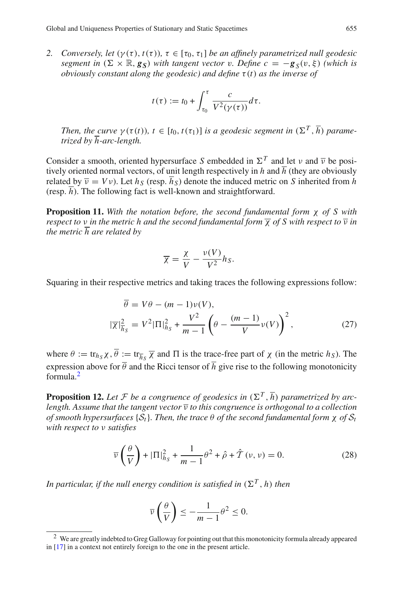*2. Conversely, let*  $(\gamma(\tau), t(\tau))$ ,  $\tau \in [\tau_0, \tau_1]$  *be an affinely parametrized null geodesic segment in*  $(\Sigma \times \mathbb{R}, g_S)$  *with tangent vector v. Define*  $c = -g_S(v, \xi)$  *(which is obviously constant along the geodesic) and define*  $\tau(t)$  *as the inverse of* 

$$
t(\tau) := t_0 + \int_{\tau_0}^{\tau} \frac{c}{V^2(\gamma(\tau))} d\tau.
$$

*Then, the curve*  $\gamma(\tau(t))$ *, t*  $\in$  [*t*<sub>0</sub>*, t*( $\tau$ <sub>1</sub>)] *is a geodesic segment in*  $(\Sigma^T, \overline{h})$  *parametrized by h-arc-length.*

Consider a smooth, oriented hypersurface *S* embedded in  $\Sigma^T$  and let v and  $\overline{v}$  be positively oriented normal vectors, of unit length respectively in *h* and  $\overline{h}$  (they are obviously related by  $\overline{v} = Vv$ ). Let  $h_S$  (resp.  $\overline{h}_S$ ) denote the induced metric on *S* inherited from *h* (resp.  $\overline{h}$ ). The following fact is well-known and straightforward.

**Proposition 11.** *With the notation before, the second fundamental form* χ *of S with respect to*  $\nu$  *in the metric h and the second fundamental form*  $\overline{\chi}$  *of*  $S$  with respect to  $\overline{\nu}$  *in the metric h are related by*

$$
\overline{\chi} = \frac{\chi}{V} - \frac{\nu(V)}{V^2} h_S.
$$

<span id="page-22-2"></span>Squaring in their respective metrics and taking traces the following expressions follow:

$$
\overline{\theta} = V\theta - (m-1)\nu(V),
$$
  

$$
|\overline{\chi}|_{\overline{h}_S}^2 = V^2 |\Pi|_{h_S}^2 + \frac{V^2}{m-1} \left(\theta - \frac{(m-1)}{V}\nu(V)\right)^2,
$$
 (27)

where  $\theta := \text{tr}_{h_S} \chi$ ,  $\overline{\theta} := \text{tr}_{\overline{h}_S} \overline{\chi}$  and  $\Pi$  is the trace-free part of  $\chi$  (in the metric  $h_S$ ). The expression above for  $\overline{\theta}$  and the Ricci tensor of  $\overline{h}$  give rise to the following monotonicity formula.[2](#page-22-1)

<span id="page-22-0"></span>**Proposition 12.** Let F be a congruence of geodesics in  $(\Sigma^T, \overline{h})$  parametrized by arc*length. Assume that the tangent vector*  $\overline{v}$  *to this congruence is orthogonal to a collection of smooth hypersurfaces*  $\{S_t\}$ *. Then, the trace*  $\theta$  *of the second fundamental form*  $\chi$  *of*  $S_t$ *with respect to* ν *satisfies*

$$
\overline{\nu}\left(\frac{\theta}{V}\right) + |\Pi|^2_{h_S} + \frac{1}{m-1}\theta^2 + \hat{\rho} + \hat{T}\left(\nu, \nu\right) = 0. \tag{28}
$$

<span id="page-22-3"></span>*In particular, if the null energy condition is satisfied in*  $(\Sigma^T, h)$  *then* 

$$
\overline{\nu}\left(\frac{\theta}{V}\right) \le -\frac{1}{m-1}\theta^2 \le 0.
$$

<span id="page-22-1"></span><sup>&</sup>lt;sup>2</sup> We are greatly indebted to Greg Galloway for pointing out that this monotonicity formula already appeared in [\[17](#page-33-11)] in a context not entirely foreign to the one in the present article.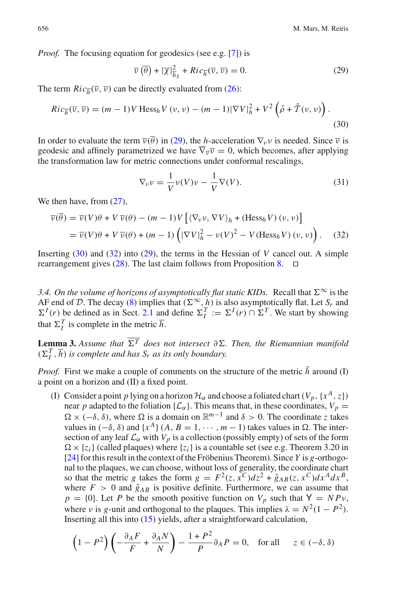<span id="page-23-1"></span>*Proof.* The focusing equation for geodesics (see e.g. [\[7](#page-32-10)]) is

$$
\overline{\nu}(\overline{\theta}) + |\overline{\chi}|^2_{\overline{h}_S} + Ric_{\overline{h}}(\overline{\nu}, \overline{\nu}) = 0.
$$
 (29)

<span id="page-23-2"></span>The term  $Ric_{\overline{k}}(\overline{\nu}, \overline{\nu})$  can be directly evaluated from [\(26\)](#page-21-1):

$$
Ric_{\overline{h}}(\overline{v}, \overline{v}) = (m-1)V \operatorname{Hess}_h V(v, v) - (m-1)|\nabla V|_h^2 + V^2 \left(\hat{\rho} + \hat{T}(v, v)\right).
$$
\n(30)

In order to evaluate the term  $\bar{v}(\bar{\theta})$  in [\(29\)](#page-23-1), the *h*-acceleration  $\nabla_{v}v$  is needed. Since  $\bar{v}$  is geodesic and affinely parametrized we have  $\overline{\nabla}_{\overline{\nu}}\overline{\nu} = 0$ , which becomes, after applying the transformation law for metric connections under conformal rescalings,

$$
\nabla_{\nu}\nu = \frac{1}{V}\nu(V)\nu - \frac{1}{V}\nabla(V). \tag{31}
$$

<span id="page-23-3"></span>We then have, from  $(27)$ ,

$$
\overline{\nu}(\overline{\theta}) = \overline{\nu}(V)\theta + V \,\overline{\nu}(\theta) - (m-1)V \left[ \langle \nabla_{\nu} \nu, \nabla V \rangle_h + (\text{Hess}_h V) (\nu, \nu) \right]
$$
  
=  $\overline{\nu}(V)\theta + V \,\overline{\nu}(\theta) + (m-1) \left( |\nabla V|_h^2 - \nu(V)^2 - V(\text{Hess}_h V) (\nu, \nu) \right).$  (32)

Inserting [\(30\)](#page-23-2) and [\(32\)](#page-23-3) into [\(29\)](#page-23-1), the terms in the Hessian of *V* cancel out. A simple rearrangement gives [\(28\)](#page-22-3). The last claim follows from Proposition [8.](#page-21-2)  $\Box$ 

<span id="page-23-0"></span>*3.4. On the volume of horizons of asymptotically flat static KIDs.* Recall that  $\Sigma^{\infty}$  is the AF end of *D*. The decay [\(8\)](#page-4-5) implies that  $(\Sigma^{\infty}, h)$  is also asymptotically flat. Let  $S_r$  and  $\Sigma^{I}(r)$  be defined as in Sect. [2.1](#page-3-1) and define  $\Sigma_{I}^{T} := \Sigma^{I}(r) \cap \Sigma^{T}$ . We start by showing that  $\Sigma_I^T$  is complete in the metric  $\overline{h}$ .

<span id="page-23-4"></span>**Lemma 3.** Assume that  $\overline{\Sigma^{T}}$  does not intersect  $\partial \Sigma$ . Then, the Riemannian manifold  $(\Sigma_I^T, \overline{h})$  *is complete and has*  $S_r$  *as its only boundary.* 

*Proof.* First we make a couple of comments on the structure of the metric  $\bar{h}$  around (I) a point on a horizon and (II) a fixed point.

(I) Consider a point *p* lying on a horizon  $\mathcal{H}_{\alpha}$  and choose a foliated chart ( $V_p$ , { $x^A$ , *z*}) near *p* adapted to the foliation { $\mathcal{L}_{\alpha}$ }. This means that, in these coordinates,  $V_p =$  $\Omega \times (-\delta, \delta)$ , where  $\Omega$  is a domain on  $\mathbb{R}^{m-1}$  and  $\delta > 0$ . The coordinate *z* takes values in  $(-\delta, \delta)$  and  $\{x^A\}$   $(A, B = 1, \dots, m-1)$  takes values in  $\Omega$ . The intersection of any leaf  $\mathcal{L}_{\alpha}$  with  $V_p$  is a collection (possibly empty) of sets of the form  $\Omega \times \{z_i\}$  (called plaques) where  $\{z_i\}$  is a countable set (see e.g. Theorem 3.20 in [\[24\]](#page-33-12) for this result in the context of the Fröbenius Theorem). Since *Y* is *g*-orthogonal to the plaques, we can choose, without loss of generality, the coordinate chart so that the metric *g* takes the form  $g = F^2(z, x^C)dz^2 + \hat{g}_{AB}(z, x^C)dx^A dx^B$ , where  $F > 0$  and  $\hat{g}_{AB}$  is positive definite. Furthermore, we can assume that  $p = \{0\}$ . Let *P* be the smooth positive function on  $V_p$  such that  $Y = NPv$ , where *ν* is *g*-unit and orthogonal to the plaques. This implies  $\lambda = N^2(1 - P^2)$ . Inserting all this into [\(15\)](#page-18-2) yields, after a straightforward calculation,

$$
\left(1 - P^2\right) \left(-\frac{\partial_A F}{F} + \frac{\partial_A N}{N}\right) - \frac{1 + P^2}{P} \partial_A P = 0, \text{ for all } z \in (-\delta, \delta)
$$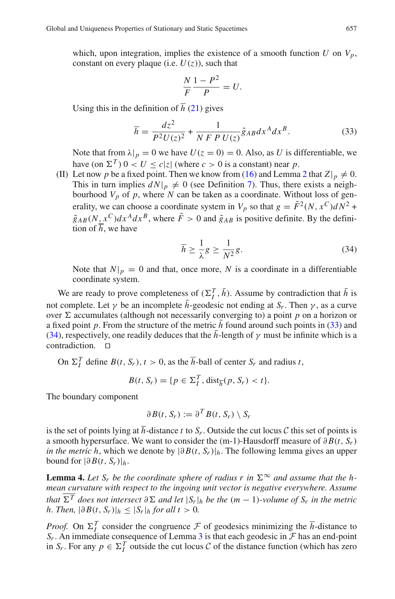which, upon integration, implies the existence of a smooth function  $U$  on  $V_p$ , constant on every plaque (i.e.  $U(z)$ ), such that

$$
\frac{N}{F}\frac{1-P^2}{P}=U.
$$

Using this in the definition of  $\overline{h}$  [\(21\)](#page-20-5) gives

$$
\overline{h} = \frac{dz^2}{P^2 U(z)^2} + \frac{1}{N F P U(z)} \hat{g}_{AB} dx^A dx^B.
$$
\n(33)

<span id="page-24-0"></span>Note that from  $\lambda|_p = 0$  we have  $U(z = 0) = 0$ . Also, as *U* is differentiable, we have (on  $\Sigma^T$ )  $0 < U < c|z|$  (where  $c > 0$  is a constant) near p.

(II) Let now *p* be a fixed point. Then we know from [\(16\)](#page-18-3) and Lemma [2](#page-19-4) that  $Z|_p \neq 0$ . This in turn implies  $dN|_p \neq 0$  (see Definition [7\)](#page-17-2). Thus, there exists a neighbourhood  $V_p$  of  $p$ , where  $N$  can be taken as a coordinate. Without loss of generality, we can choose a coordinate system in  $V_p$  so that  $g = \tilde{F}^2(N, x^C) dN^2 +$  $\tilde{g}_{AB}(N, x^C)dx^A dx^B$ , where  $\tilde{F} > 0$  and  $\tilde{g}_{AB}$  is positive definite. By the definition of  $\overline{h}$ , we have

$$
\overline{h} \ge \frac{1}{\lambda} g \ge \frac{1}{N^2} g. \tag{34}
$$

<span id="page-24-1"></span>Note that  $N|_p = 0$  and that, once more, N is a coordinate in a differentiable coordinate system.

We are ready to prove completeness of  $(\Sigma_I^T, \bar{h})$ . Assume by contradiction that  $\bar{h}$  is not complete. Let  $\gamma$  be an incomplete  $\bar{h}$ -geodesic not ending at  $S_r$ . Then  $\gamma$ , as a curve over  $\Sigma$  accumulates (although not necessarily converging to) a point  $p$  on a horizon or a fixed point p. From the structure of the metric  $\bar{h}$  found around such points in [\(33\)](#page-24-0) and [\(34\)](#page-24-1), respectively, one readily deduces that the  $\bar{h}$ -length of  $\gamma$  must be infinite which is a contradiction.  $\Box$ 

On  $\Sigma_I^T$  define  $B(t, S_r)$ ,  $t > 0$ , as the  $\overline{h}$ -ball of center  $S_r$  and radius *t*,

$$
B(t, S_r) = \{p \in \Sigma_I^T, \text{dist}_{\overline{h}}(p, S_r) < t\}.
$$

The boundary component

$$
\partial B(t, S_r) := \partial^T B(t, S_r) \setminus S_r
$$

is the set of points lying at  $\overline{h}$ -distance *t* to  $S_r$ . Outside the cut locus  $C$  this set of points is a smooth hypersurface. We want to consider the (m-1)-Hausdorff measure of ∂ *B*(*t*, *Sr*) *in the metric h*, which we denote by  $|\partial B(t, S_r)|_h$ . The following lemma gives an upper bound for  $|\partial B(t, S_r)|_h$ .

<span id="page-24-2"></span>**Lemma 4.** Let  $S_r$  be the coordinate sphere of radius r in  $\Sigma^{\infty}$  and assume that the h*mean curvature with respect to the ingoing unit vector is negative everywhere. Assume that*  $\overline{\Sigma^T}$  *does not intersect*  $\partial \Sigma$  *and let*  $|S_r|_h$  *be the*  $(m-1)$ *-volume of*  $S_r$  *in the metric h. Then,*  $|\partial B(t, S_r)|_h$  ≤  $|S_r|_h$  *for all t* > 0*.* 

*Proof.* On  $\Sigma_I^T$  consider the congruence  $\mathcal F$  of geodesics minimizing the  $\overline{h}$ -distance to  $S_r$ . An immediate consequence of Lemma [3](#page-23-4) is that each geodesic in  $\mathcal F$  has an end-point in *S<sub>r</sub>*. For any  $p \in \Sigma_I^T$  outside the cut locus *C* of the distance function (which has zero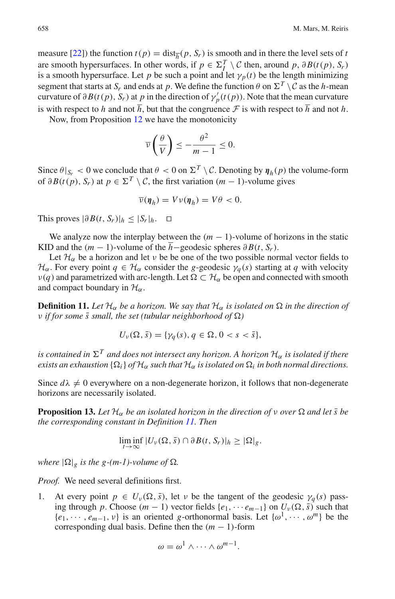measure [\[22\]](#page-33-13)) the function  $t(p) = \text{dist}_{\overline{b}}(p, S_r)$  is smooth and in there the level sets of *t* are smooth hypersurfaces. In other words, if  $p \in \Sigma_I^T \setminus C$  then, around  $p$ ,  $\partial B(t(p), S_r)$ is a smooth hypersurface. Let *p* be such a point and let  $\gamma_p(t)$  be the length minimizing segment that starts at *S<sub>r</sub>* and ends at *p*. We define the function  $\theta$  on  $\Sigma^T \setminus C$  as the *h*-mean curvature of  $\partial B(t(p), S_r)$  at *p* in the direction of  $\gamma_p'(t(p))$ . Note that the mean curvature is with respect to *h* and not  $\overline{h}$ , but that the congruence  $\mathcal F$  is with respect to  $\overline{h}$  and not *h*.

Now, from Proposition [12](#page-22-0) we have the monotonicity

$$
\overline{\nu}\left(\frac{\theta}{V}\right)\leq -\frac{\theta^2}{m-1}\leq 0.
$$

Since  $\theta|_{S_r} < 0$  we conclude that  $\theta < 0$  on  $\Sigma^T \setminus C$ . Denoting by  $\eta_h(p)$  the volume-form of  $\partial B(t(p), S_r)$  at  $p \in \Sigma^T \setminus C$ , the first variation (*m* − 1)-volume gives

$$
\overline{\nu}(\eta_h) = V \nu(\eta_h) = V \theta < 0.
$$

This proves  $|\partial B(t, S_r)|_h \leq |S_r|_h$ . □

We analyze now the interplay between the  $(m - 1)$ -volume of horizons in the static KID and the  $(m - 1)$ -volume of the  $\overline{h}$ −geodesic spheres  $\partial B(t, S_r)$ .

Let  $\mathcal{H}_{\alpha}$  be a horizon and let v be be one of the two possible normal vector fields to *H*<sub>α</sub>. For every point  $q \in H_\alpha$  consider the *g*-geodesic  $\gamma_q(s)$  starting at *q* with velocity  $v(q)$  and parametrized with arc-length. Let  $\Omega \subset \mathcal{H}_{\alpha}$  be open and connected with smooth and compact boundary in  $\mathcal{H}_{\alpha}$ .

<span id="page-25-0"></span>**Definition 11.** Let  $\mathcal{H}_{\alpha}$  be a horizon. We say that  $\mathcal{H}_{\alpha}$  is isolated on  $\Omega$  in the direction of  $\nu$  *if for some*  $\bar{s}$  small, the set (tubular neighborhood of  $\Omega$ )

$$
U_{\nu}(\Omega,\bar{s}) = \{\gamma_q(s), q \in \Omega, 0 < s < \bar{s}\},
$$

*is contained in*  $\Sigma^T$  *and does not intersect any horizon. A horizon*  $\mathcal{H}_{\alpha}$  *is isolated if there exists an exhaustion*  $\{\Omega_i\}$  *of*  $\mathcal{H}_\alpha$  *such that*  $\mathcal{H}_\alpha$  *is isolated on*  $\Omega_i$  *in both normal directions.* 

<span id="page-25-1"></span>Since  $d\lambda \neq 0$  everywhere on a non-degenerate horizon, it follows that non-degenerate horizons are necessarily isolated.

**Proposition 13.** Let  $\mathcal{H}_{\alpha}$  be an isolated horizon in the direction of v over  $\Omega$  and let  $\overline{s}$  be *the corresponding constant in Definition [11.](#page-25-0) Then*

$$
\liminf_{t\to\infty}|U_{\nu}(\Omega,\bar{s})\cap\partial B(t,S_r)|_h\geq |\Omega|_g.
$$

where  $|\Omega|_g$  *is the g-(m-1)-volume of*  $\Omega$ *.* 

*Proof.* We need several definitions first.

1. At every point  $p \in U_{\nu}(\Omega, \bar{s})$ , let  $\nu$  be the tangent of the geodesic  $\gamma_q(s)$  passing through *p*. Choose  $(m - 1)$  vector fields  $\{e_1, \dots, e_{m-1}\}$  on  $U_\nu(\Omega, \bar{s})$  such that  $\{e_1, \dots, e_{m-1}, v\}$  is an oriented *g*-orthonormal basis. Let  $\{\omega^1, \dots, \omega^m\}$  be the corresponding dual basis. Define then the (*m* − 1)-form

$$
\omega = \omega^1 \wedge \cdots \wedge \omega^{m-1}.
$$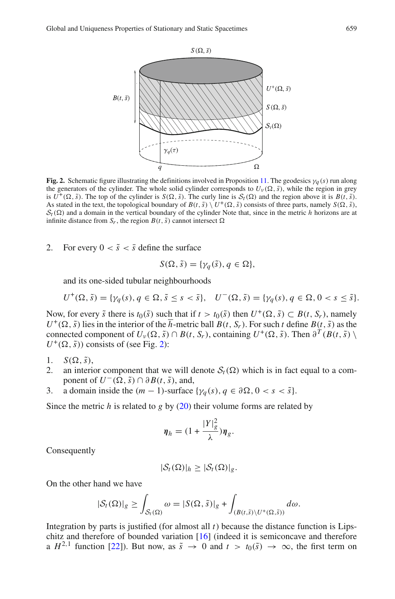

<span id="page-26-0"></span>**Fig. 2.** Schematic figure illustrating the definitions involved in Proposition [11.](#page-25-0) The geodesics  $\gamma_q(s)$  run along the generators of the cylinder. The whole solid cylinder corresponds to  $U_v(\Omega, \bar{s})$ , while the region in grey is  $U^+(\Omega, \tilde{s})$ . The top of the cylinder is  $S(\Omega, \bar{s})$ . The curly line is  $S_t(\Omega)$  and the region above it is  $B(t, \tilde{s})$ . As stated in the text, the topological boundary of  $B(t, \tilde{s}) \setminus U^+(\Omega, \tilde{s})$  consists of three parts, namely  $S(\Omega, \tilde{s})$ ,  $S_t(\Omega)$  and a domain in the vertical boundary of the cylinder Note that, since in the metric *h* horizons are at infinite distance from  $S_r$ , the region  $B(t, \tilde{s})$  cannot intersect  $\Omega$ 

2. For every  $0 < \tilde{s} < \bar{s}$  define the surface

$$
S(\Omega, \tilde{s}) = \{ \gamma_q(\tilde{s}), q \in \Omega \},
$$

and its one-sided tubular neighbourhoods

$$
U^+(\Omega, \tilde{s}) = \{ \gamma_q(s), q \in \Omega, \tilde{s} \le s < \bar{s} \}, \quad U^-(\Omega, \tilde{s}) = \{ \gamma_q(s), q \in \Omega, 0 < s \le \tilde{s} \}.
$$

Now, for every  $\tilde{s}$  there is  $t_0(\tilde{s})$  such that if  $t > t_0(\tilde{s})$  then  $U^+(\Omega, \tilde{s}) \subset B(t, S_r)$ , namely  $U^+(\Omega, \tilde{s})$  lies in the interior of the  $\overline{h}$ -metric ball  $B(t, S_r)$ . For such *t* define  $B(t, \tilde{s})$  as the connected component of  $U_v(\Omega, \tilde{s}) \cap B(t, S_r)$ , containing  $U^+(\Omega, \tilde{s})$ . Then  $\partial^T(B(t, \tilde{s}) \setminus$  $U^+(\Omega, \tilde{s})$ ) consists of (see Fig. [2\)](#page-26-0):

- 1.  $S(\Omega, \tilde{s}),$
- 2. an interior component that we will denote  $S_t(\Omega)$  which is in fact equal to a component of  $U^{-}(\Omega, \tilde{s}) \cap \partial B(t, \tilde{s})$ , and,
- 3. a domain inside the  $(m-1)$ -surface  $\{\gamma_q(s), q \in \partial\Omega, 0 < s < \tilde{s}\}.$

Since the metric *h* is related to *g* by [\(20\)](#page-20-6) their volume forms are related by

$$
\pmb{\eta}_h = (1 + \frac{|Y|_g^2}{\lambda})\pmb{\eta}_g.
$$

Consequently

$$
|\mathcal{S}_t(\Omega)|_h \geq |\mathcal{S}_t(\Omega)|_g.
$$

On the other hand we have

$$
|\mathcal{S}_t(\Omega)|_g \ge \int_{\mathcal{S}_t(\Omega)} \omega = |S(\Omega, \tilde{s})|_g + \int_{(B(t,\tilde{s}) \setminus U^+(\Omega, \tilde{s}))} d\omega.
$$

Integration by parts is justified (for almost all *t*) because the distance function is Lipschitz and therefore of bounded variation [\[16](#page-33-14)] (indeed it is semiconcave and therefore a  $H^{2,1}$  function [\[22\]](#page-33-13)). But now, as  $\tilde{s} \to 0$  and  $t > t_0(\tilde{s}) \to \infty$ , the first term on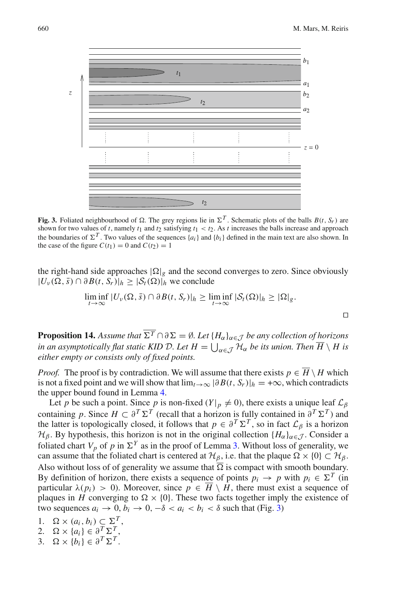

<span id="page-27-0"></span>**Fig. 3.** Foliated neighbourhood of  $\Omega$ . The grey regions lie in  $\Sigma^T$ . Schematic plots of the balls  $B(t, S_r)$  are shown for two values of *t*, namely  $t_1$  and  $t_2$  satisfying  $t_1 < t_2$ . As *t* increases the balls increase and approach the boundaries of  $\Sigma^T$ . Two values of the sequences  $\{a_i\}$  and  $\{b_i\}$  defined in the main text are also shown. In the case of the figure  $C(t_1) = 0$  and  $C(t_2) = 1$ 

the right-hand side approaches  $|\Omega|_g$  and the second converges to zero. Since obviously  $|U_{\nu}(\Omega, \bar{s}) \cap \partial B(t, S_r)|_h \geq |\mathcal{S}_t(\Omega)|_h$  we conclude

$$
\liminf_{t\to\infty} |U_{\nu}(\Omega,\bar{s}) \cap \partial B(t,S_r)|_h \geq \liminf_{t\to\infty} |\mathcal{S}_t(\Omega)|_h \geq |\Omega|_g.
$$

<span id="page-27-1"></span>**Proposition 14.** *Assume that*  $\overline{\Sigma^T} \cap \partial \Sigma = \emptyset$ *. Let*  $\{H_\alpha\}_{\alpha \in \mathcal{J}}$  *be any collection of horizons in an asymptotically flat static KID*  $D$ *. Let*  $H = \bigcup_{\alpha \in \mathcal{J}} \mathcal{H}_{\alpha}$  *be its union. Then*  $H \setminus H$  *is either empty or consists only of fixed points.*

*Proof.* The proof is by contradiction. We will assume that there exists  $p \in \overline{H} \setminus H$  which is not a fixed point and we will show that  $\lim_{t\to\infty} |\partial B(t, S_r)|_h = +\infty$ , which contradicts the upper bound found in Lemma [4.](#page-24-2)

Let *p* be such a point. Since *p* is non-fixed  $(Y|_p \neq 0)$ , there exists a unique leaf  $\mathcal{L}_{\beta}$ containing *p*. Since  $H \subset \partial^T \Sigma^T$  (recall that a horizon is fully contained in  $\partial^T \Sigma^T$ ) and the latter is topologically closed, it follows that  $p \in \partial^T \Sigma^T$ , so in fact  $\mathcal{L}_\beta$  is a horizon *H*<sub>β</sub>. By hypothesis, this horizon is not in the original collection  ${H_\alpha}_{\alpha \in \mathcal{J}}$ . Consider a foliated chart  $V_p$  of p in  $\Sigma^Y$  as in the proof of Lemma [3.](#page-23-4) Without loss of generality, we can assume that the foliated chart is centered at  $H_{\beta}$ , i.e. that the plaque  $\Omega \times \{0\} \subset H_{\beta}$ . Also without loss of of generality we assume that  $\Omega$  is compact with smooth boundary. By definition of horizon, there exists a sequence of points  $p_i \rightarrow p$  with  $p_i \in \Sigma^T$  (in particular  $\lambda(p_i) > 0$ ). Moreover, since  $p \in \overline{H} \setminus H$ , there must exist a sequence of plaques in *H* converging to  $\Omega \times \{0\}$ . These two facts together imply the existence of two sequences  $a_i \rightarrow 0, b_i \rightarrow 0, -\delta < a_i < b_i < \delta$  such that (Fig. [3\)](#page-27-0)

- 1.  $\Omega \times (a_i, b_i) \subset \Sigma^T$ , 2.  $\Omega \times \{a_i\} \in \partial^T \Sigma^T$ ,
- 3.  $\Omega \times \{b_i\} \in \partial^T \Sigma^T$ .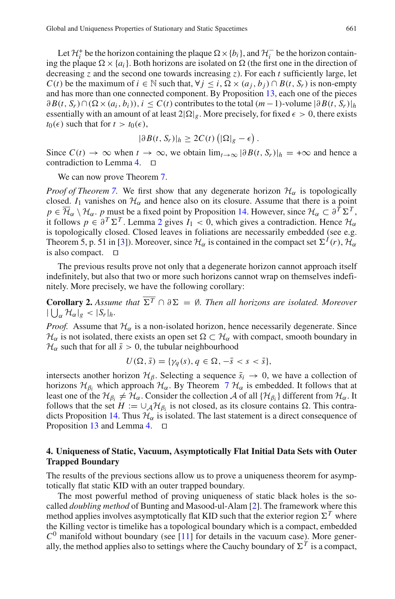Let  $\mathcal{H}_i^+$  be the horizon containing the plaque  $\Omega \times \{b_i\}$ , and  $\mathcal{H}_i^-$  be the horizon containing the plaque  $\Omega \times \{a_i\}$ . Both horizons are isolated on  $\Omega$  (the first one in the direction of decreasing *z* and the second one towards increasing *z*). For each *t* sufficiently large, let *C*(*t*) be the maximum of *i* ∈ N such that,  $\forall j \le i$ ,  $\Omega \times (a_j, b_j) \cap B(t, S_r)$  is non-empty and has more than one connected component. By Proposition [13,](#page-25-1) each one of the pieces  $\partial B(t, S_r) \cap (\Omega \times (a_i, b_i)), i \leq C(t)$  contributes to the total  $(m-1)$ -volume  $|\partial B(t, S_r)|_h$ essentially with an amount of at least  $2|\Omega|_g$ . More precisely, for fixed  $\epsilon > 0$ , there exists  $t_0(\epsilon)$  such that for  $t > t_0(\epsilon)$ ,

$$
|\partial B(t, S_r)|_h \geq 2C(t) \left( |\Omega|_g - \epsilon \right).
$$

Since  $C(t)$  → ∞ when  $t$  → ∞, we obtain  $\lim_{t\to\infty} |\partial B(t, S_t)|_h = +\infty$  and hence a contradiction to Lemma  $4. \square$  $4. \square$ 

We can now prove Theorem [7.](#page-19-0)

*Proof of Theorem* [7.](#page-19-0) We first show that any degenerate horizon  $\mathcal{H}_{\alpha}$  is topologically closed. *I*<sub>1</sub> vanishes on  $H_\alpha$  and hence also on its closure. Assume that there is a point  $p \in \overline{\mathcal{H}}_{\alpha} \setminus \mathcal{H}_{\alpha}$ . *p* must be a fixed point by Proposition [14.](#page-27-1) However, since  $\mathcal{H}_{\alpha} \subset \partial^T \Sigma^T$ , it follows  $p \in \partial^T \Sigma^T$ . Lemma [2](#page-19-4) gives  $I_1 < 0$ , which gives a contradiction. Hence  $\mathcal{H}_{\alpha}$ is topologically closed. Closed leaves in foliations are necessarily embedded (see e.g. Theorem 5, p. 51 in [\[3](#page-32-8)]). Moreover, since  $\mathcal{H}_{\alpha}$  is contained in the compact set  $\Sigma^{I}(r)$ ,  $\mathcal{H}_{\alpha}$ is also compact.  $\square$ 

The previous results prove not only that a degenerate horizon cannot approach itself indefinitely, but also that two or more such horizons cannot wrap on themselves indefinitely. More precisely, we have the following corollary:

**Corollary 2.** Assume that  $\overline{\Sigma^T} \cap \partial \Sigma = \emptyset$ . Then all horizons are isolated. Moreover  $|\bigcup_{\alpha} \mathcal{H}_{\alpha}|_{g} < |S_{r}|_{h}.$ 

*Proof.* Assume that  $H_{\alpha}$  is a non-isolated horizon, hence necessarily degenerate. Since  $\mathcal{H}_{\alpha}$  is not isolated, there exists an open set  $\Omega \subset \mathcal{H}_{\alpha}$  with compact, smooth boundary in  $\mathcal{H}_{\alpha}$  such that for all  $\bar{s} > 0$ , the tubular neighbourhood

$$
U(\Omega, \bar{s}) = \{ \gamma_q(s), q \in \Omega, -\bar{s} < s < \bar{s} \},
$$

intersects another horizon  $H_\beta$ . Selecting a sequence  $\bar{s}_i \to 0$ , we have a collection of horizons  $\mathcal{H}_{\beta_i}$  which approach  $\mathcal{H}_{\alpha}$ . By Theorem [7](#page-19-0)  $\mathcal{H}_{\alpha}$  is embedded. It follows that at least one of the  $H_{\beta_i} \neq H_\alpha$ . Consider the collection *A* of all  $\{H_{\beta_i}\}\$  different from  $H_\alpha$ . It follows that the set  $H := \cup_{\mathcal{A}} \mathcal{H}_{\beta_i}$  is not closed, as its closure contains  $\Omega$ . This contra-dicts Proposition [14.](#page-27-1) Thus  $\mathcal{H}_{\alpha}$  is isolated. The last statement is a direct consequence of Proposition [13](#page-25-1) and Lemma [4.](#page-24-2)  $\Box$ 

### <span id="page-28-0"></span>**4. Uniqueness of Static, Vacuum, Asymptotically Flat Initial Data Sets with Outer Trapped Boundary**

The results of the previous sections allow us to prove a uniqueness theorem for asymptotically flat static KID with an outer trapped boundary.

The most powerful method of proving uniqueness of static black holes is the socalled *doubling method* of Bunting and Masood-ul-Alam [\[2\]](#page-32-11). The framework where this method applies involves asymptotically flat KID such that the exterior region  $\Sigma^T$  where the Killing vector is timelike has a topological boundary which is a compact, embedded  $C<sup>0</sup>$  manifold without boundary (see [\[11\]](#page-32-12) for details in the vacuum case). More generally, the method applies also to settings where the Cauchy boundary of  $\Sigma^T$  is a compact,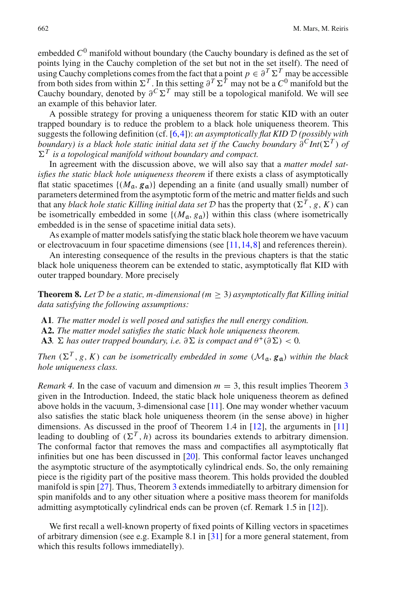embedded  $C^0$  manifold without boundary (the Cauchy boundary is defined as the set of points lying in the Cauchy completion of the set but not in the set itself). The need of using Cauchy completions comes from the fact that a point  $p \in \partial^T \Sigma^T$  may be accessible from both sides from within  $\Sigma^T$ . In this setting  $\partial^T \Sigma^T$  may not be a  $C^0$  manifold but the Cauchy boundary, denoted by  $\partial^C \Sigma^T$  may still be a topological manifold. We will see an example of this behavior later.

A possible strategy for proving a uniqueness theorem for static KID with an outer trapped boundary is to reduce the problem to a black hole uniqueness theorem. This suggests the following definition (cf. [\[6](#page-32-5)[,4](#page-32-9)]): *an asymptotically flat KID D (possibly with boundary) is a black hole static initial data set if the Cauchy boundary*  $\partial^C Int(\Sigma^T)$  *of*  $\Sigma<sup>T</sup>$  *is a topological manifold without boundary and compact.* 

In agreement with the discussion above, we will also say that a *matter model satisfies the static black hole uniqueness theorem* if there exists a class of asymptotically flat static spacetimes  $\{(M_{\alpha}, g_{\alpha})\}$  depending an a finite (and usually small) number of parameters determined from the asymptotic form of the metric and matter fields and such that any *black hole static Killing initial data set D* has the property that  $(\Sigma^T, g, K)$  can be isometrically embedded in some  $\{(M_{\mathfrak{a}}, g_{\mathfrak{a}})\}\$  within this class (where isometrically embedded is in the sense of spacetime initial data sets).

As example of matter models satisfying the static black hole theorem we have vacuum or electrovacuum in four spacetime dimensions (see [\[11](#page-32-12)[,14](#page-33-15),[8\]](#page-32-7) and references therein).

An interesting consequence of the results in the previous chapters is that the static black hole uniqueness theorem can be extended to static, asymptotically flat KID with outer trapped boundary. More precisely

<span id="page-29-0"></span>**Theorem 8.** Let  $D$  be a static, m-dimensional ( $m \geq 3$ ) asymptotically flat Killing initial *data satisfying the following assumptions:*

- **A1***. The matter model is well posed and satisfies the null energy condition.*
- **A2.** *The matter model satisfies the static black hole uniqueness theorem.*
- **A3***.*  $\Sigma$  has outer trapped boundary, i.e.  $\partial \Sigma$  is compact and  $\theta^+(\partial \Sigma) < 0$ .

*Then*  $(\Sigma^T, g, K)$  *can be isometrically embedded in some*  $(\mathcal{M}_a, g_a)$  *within the black hole uniqueness class.*

*Remark 4.* In the case of vacuum and dimension  $m = 3$  $m = 3$ , this result implies Theorem 3 given in the Introduction. Indeed, the static black hole uniqueness theorem as defined above holds in the vacuum, 3-dimensional case [\[11](#page-32-12)]. One may wonder whether vacuum also satisfies the static black hole uniqueness theorem (in the sense above) in higher dimensions. As discussed in the proof of Theorem 1.4 in [\[12](#page-32-3)], the arguments in [\[11\]](#page-32-12) leading to doubling of  $(\Sigma^T, h)$  across its boundaries extends to arbitrary dimension. The conformal factor that removes the mass and compactifies all asymptotically flat infinities but one has been discussed in [\[20](#page-33-16)]. This conformal factor leaves unchanged the asymptotic structure of the asymptotically cylindrical ends. So, the only remaining piece is the rigidity part of the positive mass theorem. This holds provided the doubled manifold is spin [\[27](#page-33-17)]. Thus, Theorem [3](#page-3-2) extends immediatelly to arbitrary dimension for spin manifolds and to any other situation where a positive mass theorem for manifolds admitting asymptotically cylindrical ends can be proven (cf. Remark 1.5 in [\[12](#page-32-3)]).

<span id="page-29-1"></span>We first recall a well-known property of fixed points of Killing vectors in spacetimes of arbitrary dimension (see e.g. Example 8.1 in [\[31\]](#page-33-18) for a more general statement, from which this results follows immediatelly).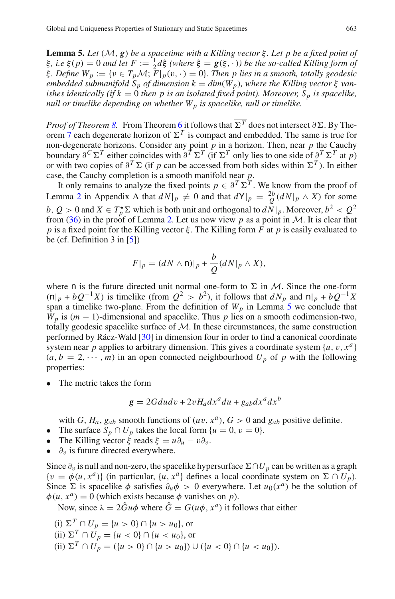**Lemma 5.** Let  $(M, g)$  be a spacetime with a Killing vector  $\xi$ . Let p be a fixed point of ξ*, i.e* ξ(*p*) = 0 *and let*  $F := \frac{1}{2}d\xi$  (where  $\xi = g(\xi, \cdot)$ ) be the so-called Killing form of ξ. Define  $W_p := \{v \in T_p \mathcal{M}; F|_p(v, \cdot) = 0\}$ . Then p lies in a smooth, totally geodesic *embedded submanifold*  $S_p$  *of dimension*  $k = dim(W_p)$ *, where the Killing vector*  $\xi$  *vanishes identically (if k* = 0 *then p is an isolated fixed point). Moreover,*  $S_p$  *is spacelike, null or timelike depending on whether*  $W_p$  *is spacelike, null or timelike.* 

*Proof of Theorem [8.](#page-29-0)* From Theorem [6](#page-7-0) it follows that  $\overline{\Sigma^{T}}$  does not intersect  $\partial \Sigma$ . By The-orem [7](#page-19-0) each degenerate horizon of  $\Sigma^T$  is compact and embedded. The same is true for non-degenerate horizons. Consider any point  $\overline{p}$  in a horizon. Then, near  $\overline{p}$  the Cauchy boundary  $\partial^C \Sigma^T$  either coincides with  $\partial^T \Sigma^T$  (if  $\Sigma^T$  only lies to one side of  $\partial^T \Sigma^T$  at *p*) or with two copies of  $\partial^T \Sigma$  (if *p* can be accessed from both sides within  $\Sigma^T$ ). In either case, the Cauchy completion is a smooth manifold near *p*.

It only remains to analyze the fixed points  $p \in \partial^T \Sigma^T$ . We know from the proof of Lemma [2](#page-19-4) in Appendix A that  $dN|_p \neq 0$  and that  $dY|_p = \frac{2b}{Q} (dN|_p \wedge X)$  for some  $b, Q > 0$  and  $X \in T_p^{\star} \Sigma$  which is both unit and orthogonal to  $dN|_p$ . Moreover,  $b^2 < Q^2$ from [\(36\)](#page-31-1) in the proof of Lemma [2.](#page-19-4) Let us now view p as a point in  $M$ . It is clear that *p* is a fixed point for the Killing vector ξ . The Killing form *F* at *p* is easily evaluated to be (cf. Definition 3 in [\[5\]](#page-32-4))

$$
F|_{p} = (dN \wedge \mathsf{n})|_{p} + \frac{b}{Q}(dN|_{p} \wedge X),
$$

where n is the future directed unit normal one-form to  $\Sigma$  in *M*. Since the one-form  $(n|_p + bQ^{-1}X)$  is timelike (from  $Q^2 > b^2$ ), it follows that  $dN_p$  and  $n|_p + bQ^{-1}X$ span a timelike two-plane. From the definition of  $W_p$  in Lemma [5](#page-29-1) we conclude that  $W_p$  is  $(m - 1)$ -dimensional and spacelike. Thus *p* lies on a smooth codimension-two, totally geodesic spacelike surface of *M*. In these circumstances, the same construction performed by Rácz-Wald [\[30\]](#page-33-19) in dimension four in order to find a canonical coordinate system near *p* applies to arbitrary dimension. This gives a coordinate system  $\{u, v, x^a\}$  $(a, b = 2, \dots, m)$  in an open connected neighbourhood  $U_p$  of p with the following properties:

The metric takes the form

$$
\mathbf{g} = 2Gdudv + 2vH_a dx^a du + g_{ab}dx^a dx^b
$$

with *G*,  $H_a$ ,  $g_{ab}$  smooth functions of  $(uv, x^a)$ ,  $G > 0$  and  $g_{ab}$  positive definite.

- The surface  $S_p \cap U_p$  takes the local form  $\{u = 0, v = 0\}.$
- The Killing vector  $\xi$  reads  $\xi = u\partial_u v\partial_v$ .
- $\partial_v$  is future directed everywhere.

Since  $\partial_{\nu}$  is null and non-zero, the spacelike hypersurface  $\Sigma \cap U_p$  can be written as a graph  $\{v = \phi(u, x^a)\}\$  (in particular,  $\{u, x^a\}$  defines a local coordinate system on  $\Sigma \cap U_p$ ). Since  $\Sigma$  is spacelike  $\phi$  satisfies  $\partial_{\mu}\phi > 0$  everywhere. Let  $u_0(x^a)$  be the solution of  $\phi(u, x^a) = 0$  (which exists because  $\phi$  vanishes on *p*).

Now, since  $\lambda = 2\hat{G}u\phi$  where  $\hat{G} = G(u\phi, x^a)$  it follows that either

(i)  $\Sigma^T \cap U_p = \{u > 0\} \cap \{u > u_0\}$ , or (ii)  $\Sigma^T \cap U_p = \{u < 0\} \cap \{u < u_0\}$ , or (ii)  $\Sigma^T \cap U_p = (\{u > 0\} \cap \{u > u_0\}) \cup (\{u < 0\} \cap \{u < u_0\}).$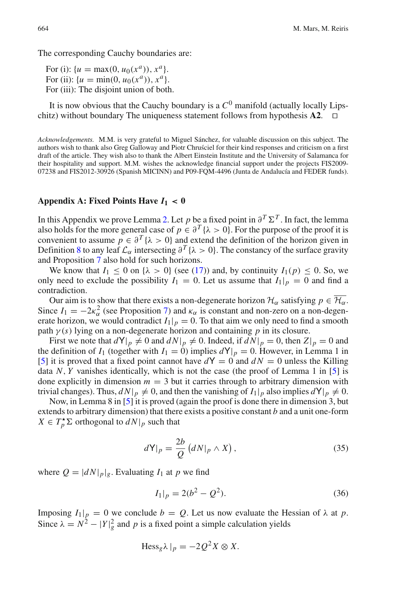The corresponding Cauchy boundaries are:

For (i):  $\{u = \max(0, u_0(x^a)), x^a\}.$ For (ii):  $\{u = \min(0, u_0(x^a)), x^a\}.$ For (iii): The disjoint union of both.

It is now obvious that the Cauchy boundary is a  $C^0$  manifold (actually locally Lipschitz) without boundary The uniqueness statement follows from hypothesis **A2**.

*Acknowledgements.* M.M. is very grateful to Miguel Sánchez, for valuable discussion on this subject. The authors wish to thank also Greg Galloway and Piotr Chrusciel for their kind responses and criticism on a first draft of the article. They wish also to thank the Albert Einstein Institute and the University of Salamanca for their hospitality and support. M.M. wishes the acknowledge financial support under the projects FIS2009- 07238 and FIS2012-30926 (Spanish MICINN) and P09-FQM-4496 (Junta de Andalucía and FEDER funds).

#### Appendix A: Fixed Points Have  $I_1 < 0$

<span id="page-31-0"></span>In this Appendix we prove Lemma [2.](#page-19-4) Let *p* be a fixed point in  $\partial^T \Sigma^T$ . In fact, the lemma also holds for the more general case of  $p \in \partial^T {\lambda > 0}$ . For the purpose of the proof it is convenient to assume  $p \in \partial^T {\lambda > 0}$  and extend the definition of the horizon given in Definition [8](#page-18-0) to any leaf  $\mathcal{L}_{\alpha}$  intersecting  $\partial^{T} \{\lambda > 0\}$ . The constancy of the surface gravity and Proposition [7](#page-19-5) also hold for such horizons.

We know that  $I_1 \leq 0$  on  $\{\lambda > 0\}$  (see [\(17\)](#page-19-2)) and, by continuity  $I_1(p) \leq 0$ . So, we only need to exclude the possibility  $I_1 = 0$ . Let us assume that  $I_1|_p = 0$  and find a contradiction.

Our aim is to show that there exists a non-degenerate horizon  $\mathcal{H}_{\alpha}$  satisfying  $p \in \overline{\mathcal{H}_{\alpha}}$ . Since  $I_1 = -2\kappa_\alpha^2$  (see Proposition [7\)](#page-19-5) and  $\kappa_\alpha$  is constant and non-zero on a non-degenerate horizon, we would contradict  $I_1|_p = 0$ . To that aim we only need to find a smooth path  $\gamma(s)$  lying on a non-degenerate horizon and containing  $p$  in its closure.

First we note that  $dY|_p \neq 0$  and  $dY|_p \neq 0$ . Indeed, if  $dY|_p = 0$ , then  $Z|_p = 0$  and the definition of  $I_1$  (together with  $I_1 = 0$ ) implies  $dY|_p = 0$ . However, in Lemma 1 in [\[5](#page-32-4)] it is proved that a fixed point cannot have  $dY = 0$  and  $dN = 0$  unless the Killing data *N*, *Y* vanishes identically, which is not the case (the proof of Lemma 1 in [\[5\]](#page-32-4) is done explicitly in dimension  $m = 3$  but it carries through to arbitrary dimension with trivial changes). Thus,  $dN|_p \neq 0$ , and then the vanishing of  $I_1|_p$  also implies  $dY|_p \neq 0$ .

Now, in Lemma 8 in [\[5](#page-32-4)] it is proved (again the proof is done there in dimension 3, but extends to arbitrary dimension) that there exists a positive constant *b* and a unit one-form  $X \in T_p^{\star} \Sigma$  orthogonal to  $dN|_p$  such that

$$
d\mathsf{Y}|_p = \frac{2b}{Q} \left( dN|_p \wedge X \right),\tag{35}
$$

<span id="page-31-2"></span>where  $Q = |dN|_p|_g$ . Evaluating  $I_1$  at  $p$  we find

$$
I_1|_p = 2(b^2 - Q^2). \tag{36}
$$

<span id="page-31-1"></span>Imposing  $I_1|_p = 0$  we conclude  $b = Q$ . Let us now evaluate the Hessian of  $\lambda$  at p. Since  $\lambda = N^2 - |Y|_g^2$  and *p* is a fixed point a simple calculation yields

$$
\text{Hess}_g \lambda|_p = -2Q^2 X \otimes X.
$$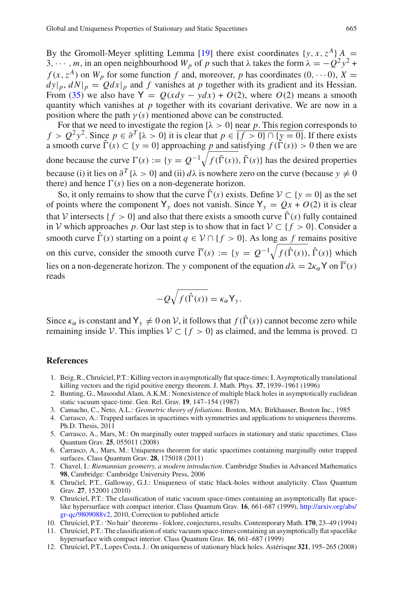By the Gromoll-Meyer splitting Lemma [\[19\]](#page-33-20) there exist coordinates  $\{y, x, z^A\}$  *A* = 3,  $\cdots$ , *m*, in an open neighbourhood *W<sub>p</sub>* of *p* such that  $\lambda$  takes the form  $\lambda = -Q^2 y^2 + Q^2 z$  $f(x, z<sup>A</sup>)$  on  $W_p$  for some function *f* and, moreover, *p* has coordinates  $(0, \cdots 0), X =$  $dy|_p$ ,  $dN|_p = Qdx|_p$  and *f* vanishes at *p* together with its gradient and its Hessian. From [\(35\)](#page-31-2) we also have  $Y = Q(x dy - y dx) + O(2)$ , where  $O(2)$  means a smooth quantity which vanishes at *p* together with its covariant derivative. We are now in a position where the path  $\gamma(s)$  mentioned above can be constructed.

For that we need to investigate the region  $\{\lambda > 0\}$  near p. This region corresponds to  $f > Q^2 y^2$ . Since  $p \in \partial^T {\lambda > 0}$  it is clear that  $p \in \{f > 0 \} \cap {\gamma = 0}$ . If there exists a smooth curve  $\tilde{\Gamma}(s) \subset \{y = 0\}$  approaching *p* and satisfying  $f(\tilde{\Gamma}(s)) > 0$  then we are done because the curve  $\Gamma(s) := \{y = Q^{-1} \sqrt{f(\tilde{\Gamma}(s))}, \tilde{\Gamma}(s)\}\$  has the desired properties because (i) it lies on  $\partial^T {\lambda > 0}$  and (ii) *d* $\lambda$  is nowhere zero on the curve (because  $y \neq 0$ there) and hence  $\Gamma(s)$  lies on a non-degenerate horizon.

So, it only remains to show that the curve  $\tilde{\Gamma}(s)$  exists. Define  $\mathcal{V} \subset \{y = 0\}$  as the set of points where the component  $Y_y$  does not vanish. Since  $Y_y = Qx + O(2)$  it is clear that *V* intersects {  $f > 0$ } and also that there exists a smooth curve  $\tilde{\Gamma}(s)$  fully contained in *V* which approaches *p*. Our last step is to show that in fact  $V \subset \{f > 0\}$ . Consider a smooth curve  $\hat{\Gamma}(s)$  starting on a point  $q \in \mathcal{V} \cap \{f > 0\}$ . As long as f remains positive on this curve, consider the smooth curve  $\overline{\Gamma}(s) := \{y = Q^{-1} \sqrt{f(\hat{\Gamma}(s))}, \hat{\Gamma}(s)\}\$  which lies on a non-degenerate horizon. The *y* component of the equation  $d\lambda = 2\kappa_{\alpha} Y$  on  $\overline{\Gamma}(s)$ reads

$$
-Q\sqrt{f(\hat{\Gamma}(s))} = \kappa_{\alpha}Y_{y}.
$$

Since  $\kappa_{\alpha}$  is constant and  $Y_{y} \neq 0$  on *V*, it follows that  $f(\hat{\Gamma}(s))$  cannot become zero while remaining inside *V*. This implies  $V \subset \{f > 0\}$  as claimed, and the lemma is proved. □

#### <span id="page-32-1"></span><span id="page-32-0"></span>**References**

- 1. Beig, R., Chru´sciel, P.T.: Killing vectors in asymptotically flat space-times: I. Asymptotically translational killing vectors and the rigid positive energy theorem. J. Math. Phys. **37**, 1939–1961 (1996)
- <span id="page-32-11"></span>2. Bunting, G., Masoodul Alam, A.K.M.: Nonexistence of multiple black holes in asymptotically euclidean static vacuum space-time. Gen. Rel. Grav. **19**, 147–154 (1987)
- <span id="page-32-8"></span>3. Camacho, C., Neto, A.L.: *Geometric theory of foliations*. Boston, MA: Birkhauser, Boston Inc., 1985
- <span id="page-32-9"></span>4. Carrasco, A.: Trapped surfaces in spacetimes with symmetries and applications to uniqueness theorems. Ph.D. Thesis, 2011
- <span id="page-32-4"></span>5. Carrasco, A., Mars, M.: On marginally outer trapped surfaces in stationary and static spacetimes. Class Quantum Grav. **25**, 055011 (2008)
- <span id="page-32-5"></span>6. Carrasco, A., Mars, M.: Uniqueness theorem for static spacetimes containing marginally outer trapped surfaces. Class Quantum Grav. **28**, 175018 (2011)
- <span id="page-32-10"></span>7. Chavel, I.: *Riemannian geometry, a modern introduction*. Cambridge Studies in Advanced Mathematics **98**, Cambridge: Cambridge University Press, 2006
- <span id="page-32-7"></span>8. Chruciel, P.T., Galloway, G.J.: Uniqueness of static black-holes without analyticity. Class Quantum Grav. **27**, 152001 (2010)
- <span id="page-32-6"></span>9. Chrusciel, P.T.: The classification of static vacuum space-times containing an asymptotically flat spacelike hypersurface with compact interior. Class Quantum Grav. **16**, 661-687 (1999), [http://arxiv.org/abs/](http://arxiv.org/abs/gr-qc/9809088v2) [gr-qc/9809088v2,](http://arxiv.org/abs/gr-qc/9809088v2) 2010, Correction to published article
- <span id="page-32-2"></span>10. Chru´sciel, P.T.: 'No hair' theorems - foklore, conjectures, results. Contemporary Math. **170**, 23–49 (1994)
- <span id="page-32-12"></span>11. Chrusciel, P.T.: The classification of static vacuum space-times containing an asymptotically flat spacelike hypersurface with compact interior. Class Quantum Grav. **16**, 661–687 (1999)
- <span id="page-32-3"></span>12. Chru´sciel, P.T., Lopes Costa, J.: On uniqueness of stationary black holes. Astérisque **321**, 195–265 (2008)